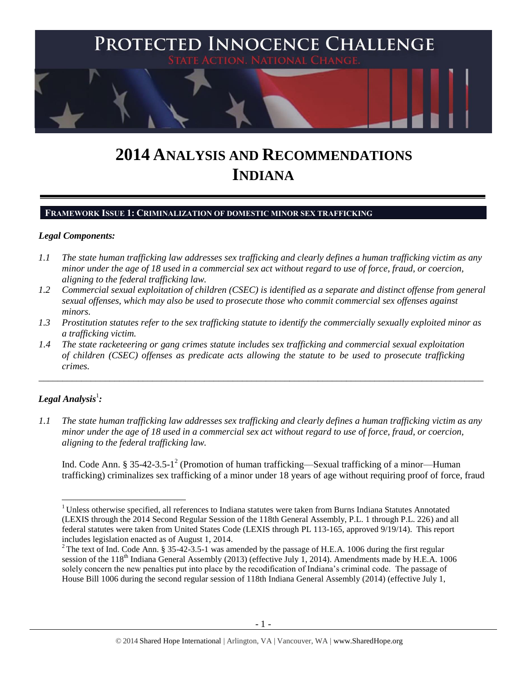

# **2014 ANALYSIS AND RECOMMENDATIONS INDIANA**

#### **FRAMEWORK ISSUE 1: CRIMINALIZATION OF DOMESTIC MINOR SEX TRAFFICKING**

#### *Legal Components:*

- *1.1 The state human trafficking law addresses sex trafficking and clearly defines a human trafficking victim as any minor under the age of 18 used in a commercial sex act without regard to use of force, fraud, or coercion, aligning to the federal trafficking law.*
- *1.2 Commercial sexual exploitation of children (CSEC) is identified as a separate and distinct offense from general sexual offenses, which may also be used to prosecute those who commit commercial sex offenses against minors.*
- *1.3 Prostitution statutes refer to the sex trafficking statute to identify the commercially sexually exploited minor as a trafficking victim.*

\_\_\_\_\_\_\_\_\_\_\_\_\_\_\_\_\_\_\_\_\_\_\_\_\_\_\_\_\_\_\_\_\_\_\_\_\_\_\_\_\_\_\_\_\_\_\_\_\_\_\_\_\_\_\_\_\_\_\_\_\_\_\_\_\_\_\_\_\_\_\_\_\_\_\_\_\_\_\_\_\_\_\_\_\_\_\_\_\_\_\_\_\_\_

*1.4 The state racketeering or gang crimes statute includes sex trafficking and commercial sexual exploitation of children (CSEC) offenses as predicate acts allowing the statute to be used to prosecute trafficking crimes.* 

# $\bm{L}$ egal Analysis $^1$ :

 $\overline{a}$ 

*1.1 The state human trafficking law addresses sex trafficking and clearly defines a human trafficking victim as any minor under the age of 18 used in a commercial sex act without regard to use of force, fraud, or coercion, aligning to the federal trafficking law.*

<span id="page-0-0"></span>Ind. Code Ann. § 35-42-3.5-1<sup>2</sup> (Promotion of human trafficking—Sexual trafficking of a minor—Human trafficking) criminalizes sex trafficking of a minor under 18 years of age without requiring proof of force, fraud

<sup>&</sup>lt;sup>1</sup> Unless otherwise specified, all references to Indiana statutes were taken from Burns Indiana Statutes Annotated (LEXIS through the 2014 Second Regular Session of the 118th General Assembly, P.L. 1 through P.L. 226) and all federal statutes were taken from United States Code (LEXIS through PL 113-165, approved 9/19/14). This report includes legislation enacted as of August 1, 2014.

<sup>&</sup>lt;sup>2</sup> The text of Ind. Code Ann. § 35-42-3.5-1 was amended by the passage of H.E.A. 1006 during the first regular session of the 118<sup>th</sup> Indiana General Assembly (2013) (effective July 1, 2014). Amendments made by H.E.A. 1006 solely concern the new penalties put into place by the recodification of Indiana's criminal code. The passage of House Bill 1006 during the second regular session of 118th Indiana General Assembly (2014) (effective July 1,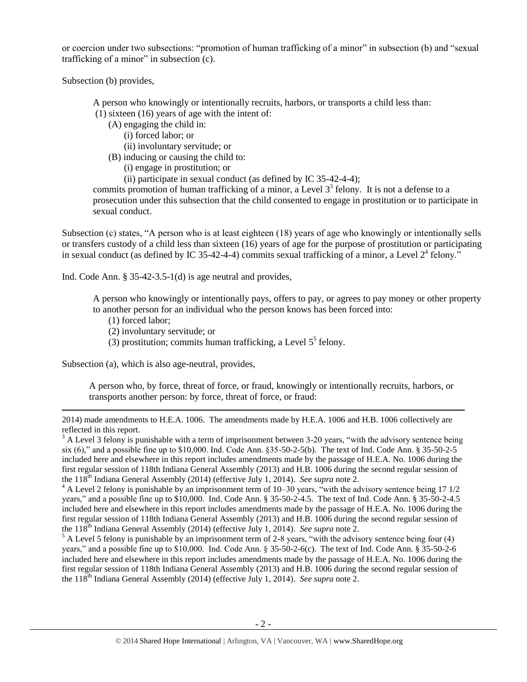or coercion under two subsections: "promotion of human trafficking of a minor" in subsection (b) and "sexual trafficking of a minor" in subsection (c).

Subsection (b) provides,

A person who knowingly or intentionally recruits, harbors, or transports a child less than:

(1) sixteen (16) years of age with the intent of:

(A) engaging the child in:

(i) forced labor; or

(ii) involuntary servitude; or

(B) inducing or causing the child to:

(i) engage in prostitution; or

<span id="page-1-2"></span><span id="page-1-1"></span>(ii) participate in sexual conduct (as defined by IC 35-42-4-4);

commits promotion of human trafficking of a minor, a Level  $3<sup>3</sup>$  felony. It is not a defense to a prosecution under this subsection that the child consented to engage in prostitution or to participate in sexual conduct.

Subsection (c) states, "A person who is at least eighteen (18) years of age who knowingly or intentionally sells or transfers custody of a child less than sixteen (16) years of age for the purpose of prostitution or participating in sexual conduct (as defined by IC 35-42-4-4) commits sexual trafficking of a minor, a Level  $2^4$  felony."

Ind. Code Ann. § 35-42-3.5-1(d) is age neutral and provides,

A person who knowingly or intentionally pays, offers to pay, or agrees to pay money or other property to another person for an individual who the person knows has been forced into:

(1) forced labor;

 $\overline{a}$ 

- (2) involuntary servitude; or
- <span id="page-1-0"></span>(3) prostitution; commits human trafficking, a Level  $5<sup>5</sup>$  felony.

Subsection (a), which is also age-neutral, provides,

A person who, by force, threat of force, or fraud, knowingly or intentionally recruits, harbors, or transports another person: by force, threat of force, or fraud:

<sup>2014)</sup> made amendments to H.E.A. 1006. The amendments made by H.E.A. 1006 and H.B. 1006 collectively are reflected in this report.

 $3$  A Level 3 felony is punishable with a term of imprisonment between 3-20 years, "with the advisory sentence being six (6)," and a possible fine up to \$10,000. Ind. Code Ann. §35-50-2-5(b). The text of Ind. Code Ann. § 35-50-2-5 included here and elsewhere in this report includes amendments made by the passage of H.E.A. No. 1006 during the first regular session of 118th Indiana General Assembly (2013) and H.B. 1006 during the second regular session of the 118th Indiana General Assembly (2014) (effective July 1, 2014). *See supra* not[e 2.](#page-0-0)

 $4$  A Level 2 felony is punishable by an imprisonment term of 10–30 years, "with the advisory sentence being 17 1/2 years," and a possible fine up to \$10,000. Ind. Code Ann. § 35-50-2-4.5. The text of Ind. Code Ann. § 35-50-2-4.5 included here and elsewhere in this report includes amendments made by the passage of H.E.A. No. 1006 during the first regular session of 118th Indiana General Assembly (2013) and H.B. 1006 during the second regular session of the 118th Indiana General Assembly (2014) (effective July 1, 2014). *See supra* not[e 2.](#page-0-0)

 $5$  A Level 5 felony is punishable by an imprisonment term of 2-8 years, "with the advisory sentence being four (4) years," and a possible fine up to \$10,000. Ind. Code Ann. § 35-50-2-6(c). The text of Ind. Code Ann. § 35-50-2-6 included here and elsewhere in this report includes amendments made by the passage of H.E.A. No. 1006 during the first regular session of 118th Indiana General Assembly (2013) and H.B. 1006 during the second regular session of the 118<sup>th</sup> Indiana General Assembly (2014) (effective July 1, 2014). *See supra* not[e 2.](#page-0-0)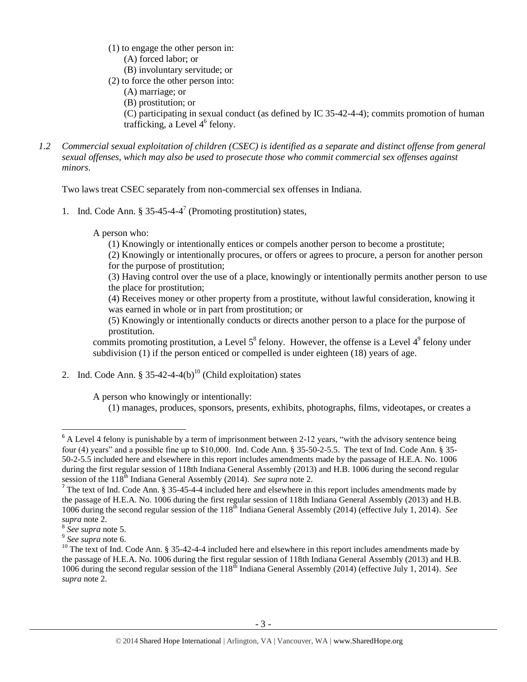- (1) to engage the other person in:
	- (A) forced labor; or
- (B) involuntary servitude; or
- (2) to force the other person into:
	- (A) marriage; or
	- (B) prostitution; or

<span id="page-2-0"></span>(C) participating in sexual conduct (as defined by IC 35-42-4-4); commits promotion of human trafficking, a Level  $4^6$  felony.

*1.2 Commercial sexual exploitation of children (CSEC) is identified as a separate and distinct offense from general sexual offenses, which may also be used to prosecute those who commit commercial sex offenses against minors.*

Two laws treat CSEC separately from non-commercial sex offenses in Indiana.

1. Ind. Code Ann. § 35-45-4-4 7 (Promoting prostitution) states,

A person who:

<span id="page-2-2"></span>(1) Knowingly or intentionally entices or compels another person to become a prostitute;

(2) Knowingly or intentionally procures, or offers or agrees to procure, a person for another person for the purpose of prostitution;

(3) Having control over the use of a place, knowingly or intentionally permits another person to use the place for prostitution;

(4) Receives money or other property from a prostitute, without lawful consideration, knowing it was earned in whole or in part from prostitution; or

(5) Knowingly or intentionally conducts or directs another person to a place for the purpose of prostitution.

commits promoting prostitution, a Level  $5^8$  felony. However, the offense is a Level  $4^9$  felony under subdivision (1) if the person enticed or compelled is under eighteen (18) years of age.

2. Ind. Code Ann.  $\S 35-42-4-4(b)^{10}$  (Child exploitation) states

A person who knowingly or intentionally:

<span id="page-2-1"></span>(1) manages, produces, sponsors, presents, exhibits, photographs, films, videotapes, or creates a

 $6$  A Level 4 felony is punishable by a term of imprisonment between 2-12 years, "with the advisory sentence being four (4) years" and a possible fine up to \$10,000. Ind. Code Ann. § 35-50-2-5.5. The text of Ind. Code Ann. § 35- 50-2-5.5 included here and elsewhere in this report includes amendments made by the passage of H.E.A. No. 1006 during the first regular session of 118th Indiana General Assembly (2013) and H.B. 1006 during the second regular session of the 118<sup>th</sup> Indiana General Assembly (2014). *See supra* note 2.

<sup>&</sup>lt;sup>7</sup> The text of Ind. Code Ann. § 35-45-4-4 included here and elsewhere in this report includes amendments made by the passage of H.E.A. No. 1006 during the first regular session of 118th Indiana General Assembly (2013) and H.B. 1006 during the second regular session of the 118<sup>th</sup> Indiana General Assembly (2014) (effective July 1, 2014). *See supra* note 2.

<sup>8</sup> *See supra* note [5.](#page-1-0)

<sup>9</sup> *See supra* note [6.](#page-2-0)

<sup>&</sup>lt;sup>10</sup> The text of Ind. Code Ann. § 35-42-4-4 included here and elsewhere in this report includes amendments made by the passage of H.E.A. No. 1006 during the first regular session of 118th Indiana General Assembly (2013) and H.B. 1006 during the second regular session of the 118th Indiana General Assembly (2014) (effective July 1, 2014). *See supra* note [2.](#page-0-0)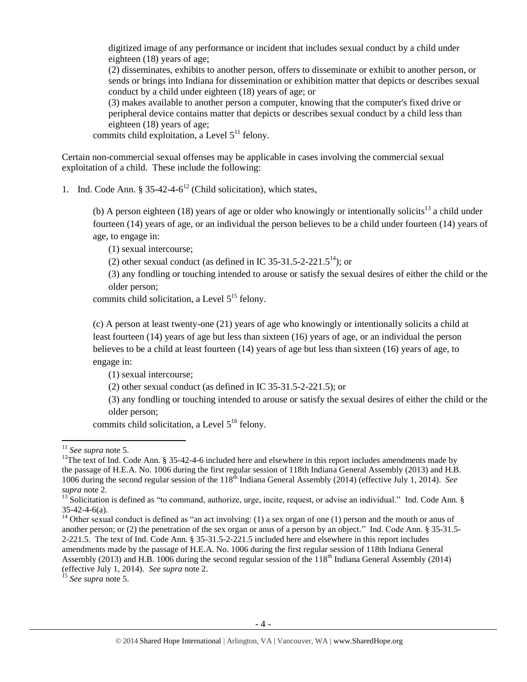digitized image of any performance or incident that includes sexual conduct by a child under eighteen (18) years of age;

(2) disseminates, exhibits to another person, offers to disseminate or exhibit to another person, or sends or brings into Indiana for dissemination or exhibition matter that depicts or describes sexual conduct by a child under eighteen (18) years of age; or

<span id="page-3-3"></span>(3) makes available to another person a computer, knowing that the computer's fixed drive or peripheral device contains matter that depicts or describes sexual conduct by a child less than eighteen (18) years of age;

commits child exploitation, a Level  $5<sup>11</sup>$  felony.

Certain non-commercial sexual offenses may be applicable in cases involving the commercial sexual exploitation of a child. These include the following:

1. Ind. Code Ann.  $\S 35-42-4-6^{12}$  (Child solicitation), which states,

<span id="page-3-0"></span>(b) A person eighteen (18) years of age or older who knowingly or intentionally solicits<sup>13</sup> a child under fourteen (14) years of age, or an individual the person believes to be a child under fourteen (14) years of age, to engage in:

<span id="page-3-1"></span>(1) sexual intercourse;

<span id="page-3-2"></span>(2) other sexual conduct (as defined in IC 35-31.5-2-221.5<sup>14</sup>); or

(3) any fondling or touching intended to arouse or satisfy the sexual desires of either the child or the older person;

commits child solicitation, a Level  $5^{15}$  felony.

(c) A person at least twenty-one (21) years of age who knowingly or intentionally solicits a child at least fourteen (14) years of age but less than sixteen (16) years of age, or an individual the person believes to be a child at least fourteen (14) years of age but less than sixteen (16) years of age, to engage in:

(1) sexual intercourse;

(2) other sexual conduct (as defined in IC 35-31.5-2-221.5); or

(3) any fondling or touching intended to arouse or satisfy the sexual desires of either the child or the older person;

commits child solicitation, a Level 5<sup>16</sup> felony.

 $\overline{a}$ 

<sup>15</sup> *See supra* note [5.](#page-1-0)

<sup>11</sup> *See supra* note [5.](#page-1-0)

 $12$ The text of Ind. Code Ann. § 35-42-4-6 included here and elsewhere in this report includes amendments made by the passage of H.E.A. No. 1006 during the first regular session of 118th Indiana General Assembly (2013) and H.B. 1006 during the second regular session of the 118<sup>th</sup> Indiana General Assembly (2014) (effective July 1, 2014). *See supra* note [2.](#page-0-0)

 $13$  Solicitation is defined as "to command, authorize, urge, incite, request, or advise an individual." Ind. Code Ann. § 35-42-4-6(a).

 $14$  Other sexual conduct is defined as "an act involving: (1) a sex organ of one (1) person and the mouth or anus of another person; or (2) the penetration of the sex organ or anus of a person by an object." Ind. Code Ann. § 35-31.5- 2-221.5. The text of Ind. Code Ann. § 35-31.5-2-221.5 included here and elsewhere in this report includes amendments made by the passage of H.E.A. No. 1006 during the first regular session of 118th Indiana General Assembly (2013) and H.B. 1006 during the second regular session of the 118th Indiana General Assembly (2014) (effective July 1, 2014). *See supra* note [2.](#page-0-0)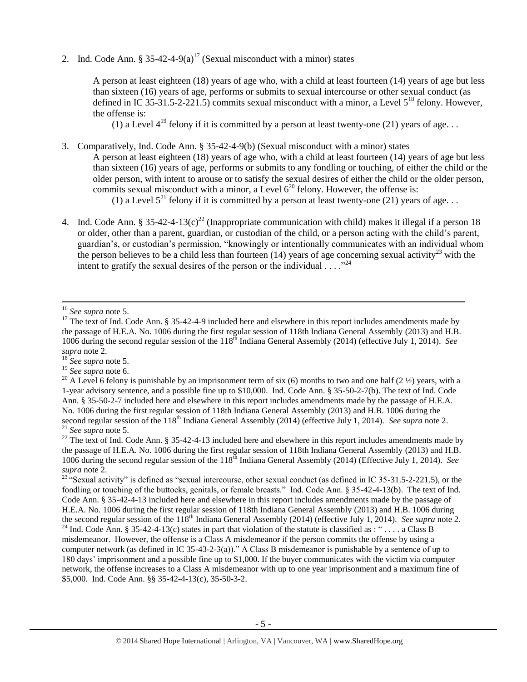2. Ind. Code Ann.  $\frac{1}{2}$  35-42-4-9(a)<sup>17</sup> (Sexual misconduct with a minor) states

<span id="page-4-1"></span>A person at least eighteen (18) years of age who, with a child at least fourteen (14) years of age but less than sixteen (16) years of age, performs or submits to sexual intercourse or other sexual conduct (as defined in IC 35-31.5-2-221.5) commits sexual misconduct with a minor, a Level  $5^{18}$  felony. However, the offense is:

(1) a Level  $4^{19}$  felony if it is committed by a person at least twenty-one (21) years of age...

3. Comparatively, Ind. Code Ann. § 35-42-4-9(b) (Sexual misconduct with a minor) states

A person at least eighteen (18) years of age who, with a child at least fourteen (14) years of age but less than sixteen (16) years of age, performs or submits to any fondling or touching, of either the child or the older person, with intent to arouse or to satisfy the sexual desires of either the child or the older person, commits sexual misconduct with a minor, a Level  $6^{20}$  felony. However, the offense is:

<span id="page-4-3"></span><span id="page-4-2"></span><span id="page-4-0"></span>(1) a Level  $5^{21}$  felony if it is committed by a person at least twenty-one (21) years of age...

4. Ind. Code Ann. § 35-42-4-13(c)<sup>22</sup> (Inappropriate communication with child) makes it illegal if a person 18 or older, other than a parent, guardian, or custodian of the child, or a person acting with the child's parent, guardian's, or custodian's permission, "knowingly or intentionally communicates with an individual whom the person believes to be a child less than fourteen  $(14)$  years of age concerning sexual activity<sup>23</sup> with the intent to gratify the sexual desires of the person or the individual  $\ldots$ ."<sup>24</sup>

 $\overline{\phantom{a}}$ 

<sup>18</sup> *See supra* note [5.](#page-1-0)

<sup>19</sup> *See supra* note [6.](#page-2-0)

<sup>20</sup> A Level 6 felony is punishable by an imprisonment term of six (6) months to two and one half (2  $\frac{1}{2}$ ) years, with a 1-year advisory sentence, and a possible fine up to \$10,000. Ind. Code Ann. § 35-50-2-7(b). The text of Ind. Code Ann. § 35-50-2-7 included here and elsewhere in this report includes amendments made by the passage of H.E.A. No. 1006 during the first regular session of 118th Indiana General Assembly (2013) and H.B. 1006 during the second regular session of the 118<sup>th</sup> Indiana General Assembly (2014) (effective July 1, 2014). *See supra* note [2.](#page-0-0) <sup>21</sup> *See supra* note [5.](#page-1-0)

 $22$  The text of Ind. Code Ann. § 35-42-4-13 included here and elsewhere in this report includes amendments made by the passage of H.E.A. No. 1006 during the first regular session of 118th Indiana General Assembly (2013) and H.B. 1006 during the second regular session of the 118th Indiana General Assembly (2014) (Effective July 1, 2014). *See supra* note [2.](#page-0-0)

<sup>23 "</sup>Sexual activity" is defined as "sexual intercourse, other sexual conduct (as defined in IC 35-31.5-2-221.5), or the fondling or touching of the buttocks, genitals, or female breasts." Ind. Code Ann. § 35-42-4-13(b). The text of Ind. Code Ann. § 35-42-4-13 included here and elsewhere in this report includes amendments made by the passage of H.E.A. No. 1006 during the first regular session of 118th Indiana General Assembly (2013) and H.B. 1006 during the second regular session of the 118<sup>th</sup> Indiana General Assembly (2014) (effective July 1, 2014). *See supra* note [2.](#page-0-0) <sup>24</sup> Ind. Code Ann. § 35-42-4-13(c) states in part that violation of the statute is classified as : "... a Class B misdemeanor. However, the offense is a Class A misdemeanor if the person commits the offense by using a computer network (as defined in IC 35-43-2-3(a))." A Class B misdemeanor is punishable by a sentence of up to 180 days' imprisonment and a possible fine up to \$1,000. If the buyer communicates with the victim via computer network, the offense increases to a Class A misdemeanor with up to one year imprisonment and a maximum fine of \$5,000. Ind. Code Ann. §§ 35-42-4-13(c), 35-50-3-2.

<sup>16</sup> *See supra* note [5.](#page-1-0)

<sup>&</sup>lt;sup>17</sup> The text of Ind. Code Ann. § 35-42-4-9 included here and elsewhere in this report includes amendments made by the passage of H.E.A. No. 1006 during the first regular session of 118th Indiana General Assembly (2013) and H.B. 1006 during the second regular session of the 118<sup>th</sup> Indiana General Assembly (2014) (effective July 1, 2014). *See supra* note [2.](#page-0-0)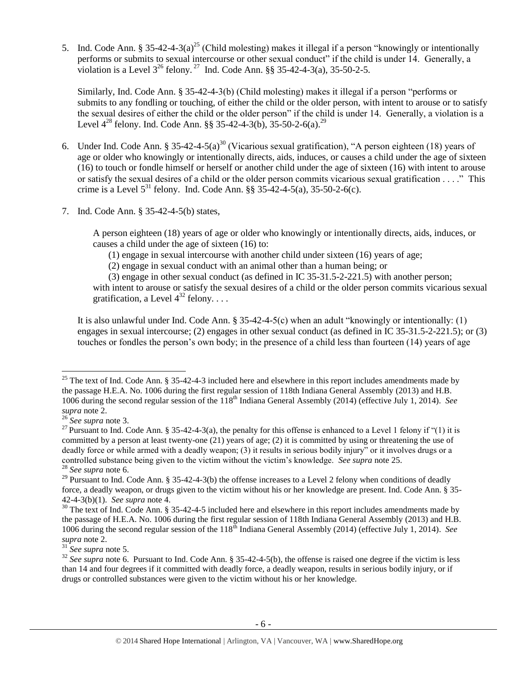5. Ind. Code Ann. § 35-42-4-3(a)<sup>25</sup> (Child molesting) makes it illegal if a person "knowingly or intentionally performs or submits to sexual intercourse or other sexual conduct" if the child is under 14. Generally, a violation is a Level  $3^{26}$  felony.<sup>27</sup> Ind. Code Ann. §§ 35-42-4-3(a), 35-50-2-5.

<span id="page-5-1"></span><span id="page-5-0"></span>Similarly, Ind. Code Ann. § 35-42-4-3(b) (Child molesting) makes it illegal if a person "performs or submits to any fondling or touching, of either the child or the older person, with intent to arouse or to satisfy the sexual desires of either the child or the older person" if the child is under 14. Generally, a violation is a Level  $4^{28}$  felony. Ind. Code Ann. §§ 35-42-4-3(b), 35-50-2-6(a).<sup>29</sup>

- 6. Under Ind. Code Ann. § 35-42-4-5(a)<sup>30</sup> (Vicarious sexual gratification), "A person eighteen (18) years of age or older who knowingly or intentionally directs, aids, induces, or causes a child under the age of sixteen (16) to touch or fondle himself or herself or another child under the age of sixteen (16) with intent to arouse or satisfy the sexual desires of a child or the older person commits vicarious sexual gratification . . . ." This crime is a Level  $5^{31}$  felony. Ind. Code Ann. §§ 35-42-4-5(a), 35-50-2-6(c).
- 7. Ind. Code Ann. § 35-42-4-5(b) states,

A person eighteen (18) years of age or older who knowingly or intentionally directs, aids, induces, or causes a child under the age of sixteen (16) to:

(1) engage in sexual intercourse with another child under sixteen (16) years of age;

(2) engage in sexual conduct with an animal other than a human being; or

<span id="page-5-2"></span>(3) engage in other sexual conduct (as defined in IC 35-31.5-2-221.5) with another person;

with intent to arouse or satisfy the sexual desires of a child or the older person commits vicarious sexual gratification, a Level  $4^{32}$  felony...

It is also unlawful under Ind. Code Ann.  $\S 35-42-4-5(c)$  when an adult "knowingly or intentionally: (1) engages in sexual intercourse; (2) engages in other sexual conduct (as defined in IC 35-31.5-2-221.5); or (3) touches or fondles the person's own body; in the presence of a child less than fourteen (14) years of age

l

<sup>&</sup>lt;sup>25</sup> The text of Ind. Code Ann. § 35-42-4-3 included here and elsewhere in this report includes amendments made by the passage H.E.A. No. 1006 during the first regular session of 118th Indiana General Assembly (2013) and H.B. 1006 during the second regular session of the 118<sup>th</sup> Indiana General Assembly (2014) (effective July 1, 2014). *See supra* note [2.](#page-0-0)

<sup>26</sup> *See supra* note [3.](#page-1-1)

<sup>&</sup>lt;sup>27</sup> Pursuant to Ind. Code Ann. § 35-42-4-3(a), the penalty for this offense is enhanced to a Level 1 felony if "(1) it is committed by a person at least twenty-one (21) years of age; (2) it is committed by using or threatening the use of deadly force or while armed with a deadly weapon; (3) it results in serious bodily injury" or it involves drugs or a controlled substance being given to the victim without the victim's knowledge. *See supra* not[e 25.](#page-5-0) <sup>28</sup> *See supra* note [6.](#page-2-0)

<sup>&</sup>lt;sup>29</sup> Pursuant to Ind. Code Ann. § 35-42-4-3(b) the offense increases to a Level 2 felony when conditions of deadly force, a deadly weapon, or drugs given to the victim without his or her knowledge are present. Ind. Code Ann. § 35- 42-4-3(b)(1). *See supra* note [4.](#page-1-2)

<sup>&</sup>lt;sup>30</sup> The text of Ind. Code Ann. § 35-42-4-5 included here and elsewhere in this report includes amendments made by the passage of H.E.A. No. 1006 during the first regular session of 118th Indiana General Assembly (2013) and H.B. 1006 during the second regular session of the  $118<sup>th</sup>$  Indiana General Assembly (2014) (effective July 1, 2014). *See supra* note [2.](#page-0-0)

<sup>31</sup> *See supra* note [5.](#page-1-0)

 $32$  *See supra* note [6.](#page-2-0) Pursuant to Ind. Code Ann. § 35-42-4-5(b), the offense is raised one degree if the victim is less than 14 and four degrees if it committed with deadly force, a deadly weapon, results in serious bodily injury, or if drugs or controlled substances were given to the victim without his or her knowledge.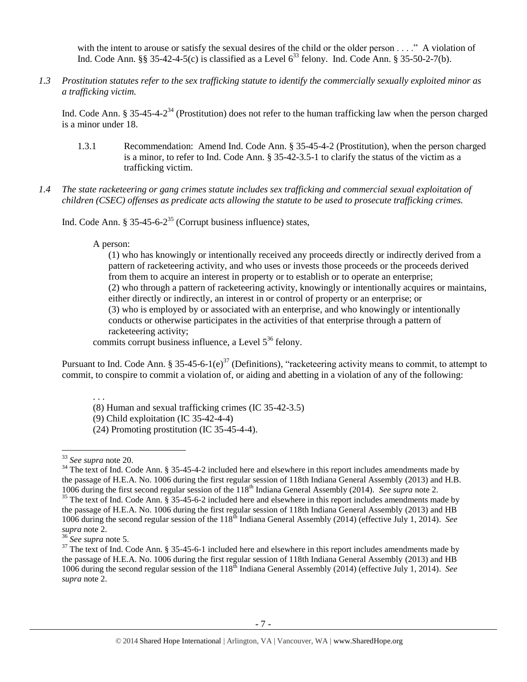with the intent to arouse or satisfy the sexual desires of the child or the older person . . . ." A violation of Ind. Code Ann. §§ 35-42-4-5(c) is classified as a Level  $6^{33}$  felony. Ind. Code Ann. § 35-50-2-7(b).

*1.3 Prostitution statutes refer to the sex trafficking statute to identify the commercially sexually exploited minor as a trafficking victim.* 

Ind. Code Ann. § 35-45-4- $2^{34}$  (Prostitution) does not refer to the human trafficking law when the person charged is a minor under 18.

- <span id="page-6-1"></span>1.3.1 Recommendation: Amend Ind. Code Ann. § 35-45-4-2 (Prostitution), when the person charged is a minor, to refer to Ind. Code Ann. § 35-42-3.5-1 to clarify the status of the victim as a trafficking victim.
- *1.4 The state racketeering or gang crimes statute includes sex trafficking and commercial sexual exploitation of children (CSEC) offenses as predicate acts allowing the statute to be used to prosecute trafficking crimes.*

Ind. Code Ann. § 35-45-6-2<sup>35</sup> (Corrupt business influence) states,

## A person:

<span id="page-6-0"></span>(1) who has knowingly or intentionally received any proceeds directly or indirectly derived from a pattern of racketeering activity, and who uses or invests those proceeds or the proceeds derived from them to acquire an interest in property or to establish or to operate an enterprise; (2) who through a pattern of racketeering activity, knowingly or intentionally acquires or maintains, either directly or indirectly, an interest in or control of property or an enterprise; or (3) who is employed by or associated with an enterprise, and who knowingly or intentionally conducts or otherwise participates in the activities of that enterprise through a pattern of racketeering activity;

commits corrupt business influence, a Level  $5^{36}$  felony.

Pursuant to Ind. Code Ann. § 35-45-6-1(e)<sup>37</sup> (Definitions), "racketeering activity means to commit, to attempt to commit, to conspire to commit a violation of, or aiding and abetting in a violation of any of the following:

. . .

(8) Human and sexual trafficking crimes (IC 35-42-3.5)

<sup>(9)</sup> Child exploitation (IC 35-42-4-4)

<sup>(24)</sup> Promoting prostitution (IC 35-45-4-4).

<sup>33</sup> *See supra* note [20.](#page-4-0)

<sup>&</sup>lt;sup>34</sup> The text of Ind. Code Ann. § 35-45-4-2 included here and elsewhere in this report includes amendments made by the passage of H.E.A. No. 1006 during the first regular session of 118th Indiana General Assembly (2013) and H.B. 1006 during the first second regular session of the 118th Indiana General Assembly (2014). *See supra* not[e 2.](#page-0-0)

<sup>&</sup>lt;sup>35</sup> The text of Ind. Code Ann. § 35-45-6-2 included here and elsewhere in this report includes amendments made by the passage of H.E.A. No. 1006 during the first regular session of 118th Indiana General Assembly (2013) and HB 1006 during the second regular session of the 118th Indiana General Assembly (2014) (effective July 1, 2014). *See supra* note [2.](#page-0-0)

<sup>36</sup> *See supra* note [5.](#page-1-0)

 $37$  The text of Ind. Code Ann. § 35-45-6-1 included here and elsewhere in this report includes amendments made by the passage of H.E.A. No. 1006 during the first regular session of 118th Indiana General Assembly (2013) and HB 1006 during the second regular session of the 118th Indiana General Assembly (2014) (effective July 1, 2014). *See supra* note [2.](#page-0-0)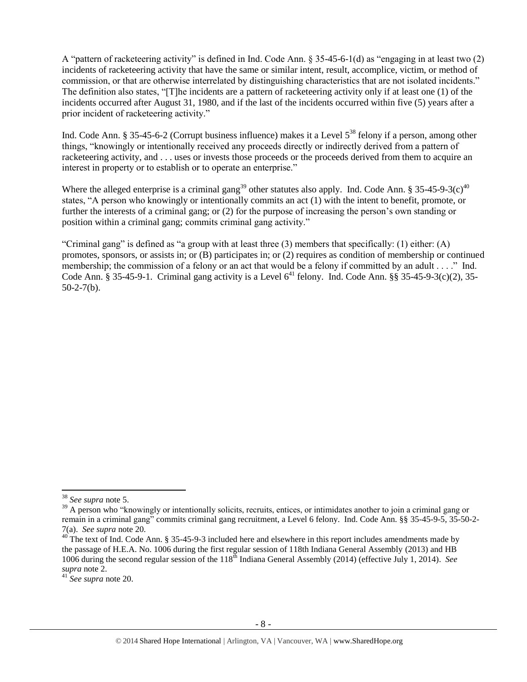A "pattern of racketeering activity" is defined in Ind. Code Ann. § 35-45-6-1(d) as "engaging in at least two (2) incidents of racketeering activity that have the same or similar intent, result, accomplice, victim, or method of commission, or that are otherwise interrelated by distinguishing characteristics that are not isolated incidents." The definition also states, "[T]he incidents are a pattern of racketeering activity only if at least one (1) of the incidents occurred after August 31, 1980, and if the last of the incidents occurred within five (5) years after a prior incident of racketeering activity."

Ind. Code Ann. § 35-45-6-2 (Corrupt business influence) makes it a Level 5<sup>38</sup> felony if a person, among other things, "knowingly or intentionally received any proceeds directly or indirectly derived from a pattern of racketeering activity, and . . . uses or invests those proceeds or the proceeds derived from them to acquire an interest in property or to establish or to operate an enterprise."

Where the alleged enterprise is a criminal gang<sup>39</sup> other statutes also apply. Ind. Code Ann. § 35-45-9-3(c)<sup>40</sup> states, "A person who knowingly or intentionally commits an act (1) with the intent to benefit, promote, or further the interests of a criminal gang; or (2) for the purpose of increasing the person's own standing or position within a criminal gang; commits criminal gang activity."

"Criminal gang" is defined as "a group with at least three (3) members that specifically: (1) either: (A) promotes, sponsors, or assists in; or (B) participates in; or (2) requires as condition of membership or continued membership; the commission of a felony or an act that would be a felony if committed by an adult . . . ." Ind. Code Ann. § 35-45-9-1. Criminal gang activity is a Level  $6^{41}$  felony. Ind. Code Ann. §§ 35-45-9-3(c)(2), 35- $50-2-7(b)$ .

l <sup>38</sup> *See supra* note [5.](#page-1-0)

<sup>&</sup>lt;sup>39</sup> A person who "knowingly or intentionally solicits, recruits, entices, or intimidates another to join a criminal gang or remain in a criminal gang" commits criminal gang recruitment, a Level 6 felony. Ind. Code Ann. §§ 35-45-9-5, 35-50-2- 7(a). *See supra* note [20.](#page-4-0)

 $40$  The text of Ind. Code Ann. § 35-45-9-3 included here and elsewhere in this report includes amendments made by the passage of H.E.A. No. 1006 during the first regular session of 118th Indiana General Assembly (2013) and HB 1006 during the second regular session of the 118th Indiana General Assembly (2014) (effective July 1, 2014). *See supra* note [2.](#page-0-0)

<sup>41</sup> *See supra* note [20.](#page-4-0)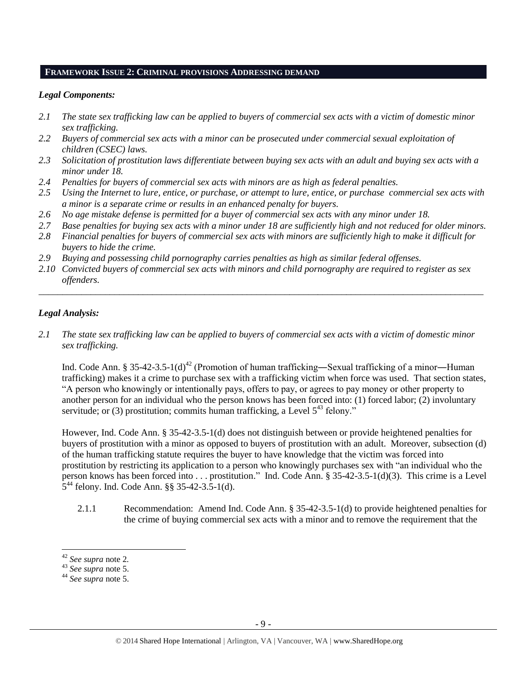#### **FRAMEWORK ISSUE 2: CRIMINAL PROVISIONS ADDRESSING DEMAND**

#### *Legal Components:*

- *2.1 The state sex trafficking law can be applied to buyers of commercial sex acts with a victim of domestic minor sex trafficking.*
- *2.2 Buyers of commercial sex acts with a minor can be prosecuted under commercial sexual exploitation of children (CSEC) laws.*
- *2.3 Solicitation of prostitution laws differentiate between buying sex acts with an adult and buying sex acts with a minor under 18.*
- *2.4 Penalties for buyers of commercial sex acts with minors are as high as federal penalties.*
- *2.5 Using the Internet to lure, entice, or purchase, or attempt to lure, entice, or purchase commercial sex acts with a minor is a separate crime or results in an enhanced penalty for buyers.*
- *2.6 No age mistake defense is permitted for a buyer of commercial sex acts with any minor under 18.*
- *2.7 Base penalties for buying sex acts with a minor under 18 are sufficiently high and not reduced for older minors.*
- *2.8 Financial penalties for buyers of commercial sex acts with minors are sufficiently high to make it difficult for buyers to hide the crime.*
- *2.9 Buying and possessing child pornography carries penalties as high as similar federal offenses.*
- *2.10 Convicted buyers of commercial sex acts with minors and child pornography are required to register as sex offenders.*

\_\_\_\_\_\_\_\_\_\_\_\_\_\_\_\_\_\_\_\_\_\_\_\_\_\_\_\_\_\_\_\_\_\_\_\_\_\_\_\_\_\_\_\_\_\_\_\_\_\_\_\_\_\_\_\_\_\_\_\_\_\_\_\_\_\_\_\_\_\_\_\_\_\_\_\_\_\_\_\_\_\_\_\_\_\_\_\_\_\_\_\_\_\_

# *Legal Analysis:*

*2.1 The state sex trafficking law can be applied to buyers of commercial sex acts with a victim of domestic minor sex trafficking.* 

Ind. Code Ann. § 35-42-3.5-1(d)<sup>42</sup> (Promotion of human trafficking—Sexual trafficking of a minor—Human trafficking) makes it a crime to purchase sex with a trafficking victim when force was used. That section states, "A person who knowingly or intentionally pays, offers to pay, or agrees to pay money or other property to another person for an individual who the person knows has been forced into: (1) forced labor; (2) involuntary servitude; or (3) prostitution; commits human trafficking, a Level  $5^{43}$  felony."

However, Ind. Code Ann. § 35-42-3.5-1(d) does not distinguish between or provide heightened penalties for buyers of prostitution with a minor as opposed to buyers of prostitution with an adult. Moreover, subsection (d) of the human trafficking statute requires the buyer to have knowledge that the victim was forced into prostitution by restricting its application to a person who knowingly purchases sex with "an individual who the person knows has been forced into . . . prostitution." Ind. Code Ann. § 35-42-3.5-1(d)(3). This crime is a Level 5 <sup>44</sup> felony. Ind. Code Ann. §§ 35-42-3.5-1(d).

2.1.1 Recommendation: Amend Ind. Code Ann. § 35-42-3.5-1(d) to provide heightened penalties for the crime of buying commercial sex acts with a minor and to remove the requirement that the

<sup>42</sup> *See supra* note [2](#page-0-0)*.*

<sup>43</sup> *See supra* note [5.](#page-1-0)

<sup>44</sup> *See supra* note [5.](#page-1-0)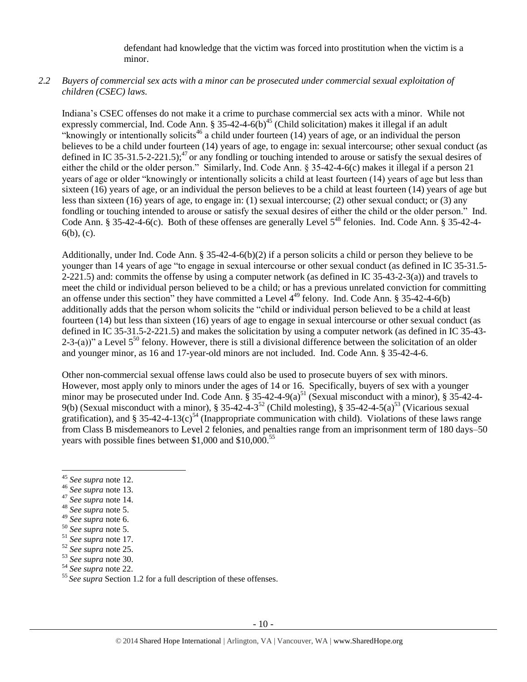defendant had knowledge that the victim was forced into prostitution when the victim is a minor.

# *2.2 Buyers of commercial sex acts with a minor can be prosecuted under commercial sexual exploitation of children (CSEC) laws.*

Indiana's CSEC offenses do not make it a crime to purchase commercial sex acts with a minor. While not expressly commercial, Ind. Code Ann. § 35-42-4-6(b)<sup>45</sup> (Child solicitation) makes it illegal if an adult "knowingly or intentionally solicits<sup>46</sup> a child under fourteen (14) years of age, or an individual the person believes to be a child under fourteen (14) years of age, to engage in: sexual intercourse; other sexual conduct (as defined in IC 35-31.5-2-221.5);<sup>47</sup> or any fondling or touching intended to arouse or satisfy the sexual desires of either the child or the older person." Similarly, Ind. Code Ann. § 35-42-4-6(c) makes it illegal if a person 21 years of age or older "knowingly or intentionally solicits a child at least fourteen (14) years of age but less than sixteen (16) years of age, or an individual the person believes to be a child at least fourteen (14) years of age but less than sixteen (16) years of age, to engage in: (1) sexual intercourse; (2) other sexual conduct; or (3) any fondling or touching intended to arouse or satisfy the sexual desires of either the child or the older person." Ind. Code Ann. § 35-42-4-6(c). Both of these offenses are generally Level 5<sup>48</sup> felonies. Ind. Code Ann. § 35-42-4-6(b), (c).

Additionally, under Ind. Code Ann. § 35-42-4-6(b)(2) if a person solicits a child or person they believe to be younger than 14 years of age "to engage in sexual intercourse or other sexual conduct (as defined in IC 35-31.5- 2-221.5) and: commits the offense by using a computer network (as defined in IC 35-43-2-3(a)) and travels to meet the child or individual person believed to be a child; or has a previous unrelated conviction for committing an offense under this section" they have committed a Level  $4^{49}$  felony. Ind. Code Ann. § 35-42-4-6(b) additionally adds that the person whom solicits the "child or individual person believed to be a child at least fourteen (14) but less than sixteen (16) years of age to engage in sexual intercourse or other sexual conduct (as defined in IC 35-31.5-2-221.5) and makes the solicitation by using a computer network (as defined in IC 35-43- 2-3-(a))" a Level  $5^{50}$  felony. However, there is still a divisional difference between the solicitation of an older and younger minor, as 16 and 17-year-old minors are not included. Ind. Code Ann. § 35-42-4-6.

Other non-commercial sexual offense laws could also be used to prosecute buyers of sex with minors. However, most apply only to minors under the ages of 14 or 16. Specifically, buyers of sex with a younger minor may be prosecuted under Ind. Code Ann.  $\S 35-42-4-9(a)^{51}$  (Sexual misconduct with a minor),  $\S 35-42-4-9(a)^{51}$ 9(b) (Sexual misconduct with a minor), § 35-42-4-3<sup>52</sup> (Child molesting), § 35-42-4-5(a)<sup>53</sup> (Vicarious sexual gratification), and § 35-42-4-13(c)<sup>54</sup> (Inappropriate communication with child). Violations of these laws range from Class B misdemeanors to Level 2 felonies, and penalties range from an imprisonment term of 180 days–50 years with possible fines between \$1,000 and  $$10,000$ .<sup>55</sup>

 $\overline{\phantom{a}}$ 

<sup>47</sup> *See supra* note [14.](#page-3-2)

<sup>49</sup> *See supra* note [6.](#page-2-0)

<sup>45</sup> *See supra* note [12.](#page-3-0) 

<sup>46</sup> *See supra* note [13.](#page-3-1)

<sup>48</sup> *See supra* note [5.](#page-1-0)

<sup>50</sup> *See supra* note [5.](#page-1-0)

<sup>51</sup> *See supra* note [17.](#page-4-1)

<sup>52</sup> *See supra* note [25.](#page-5-0)

<sup>53</sup> *See supra* note [30.](#page-5-1)

<sup>54</sup> *See supra* note [22.](#page-4-2)

<sup>55</sup> *See supra* Section 1.2 for a full description of these offenses.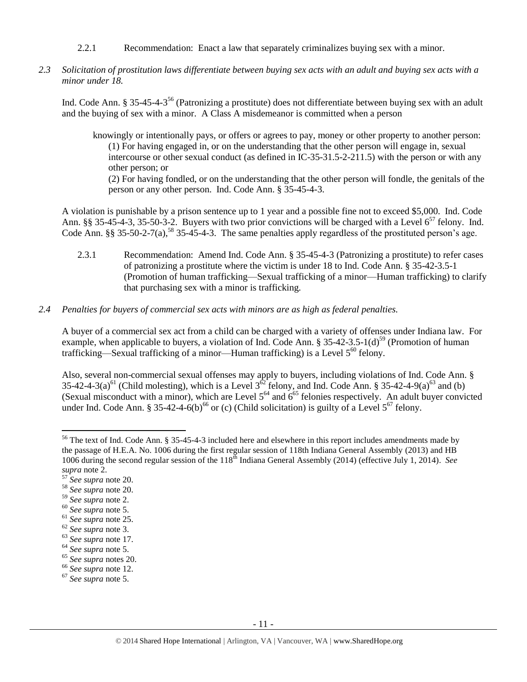- 2.2.1 Recommendation: Enact a law that separately criminalizes buying sex with a minor.
- *2.3 Solicitation of prostitution laws differentiate between buying sex acts with an adult and buying sex acts with a minor under 18.*

Ind. Code Ann. § 35-45-4-3<sup>56</sup> (Patronizing a prostitute) does not differentiate between buying sex with an adult and the buying of sex with a minor. A Class A misdemeanor is committed when a person

<span id="page-10-0"></span>knowingly or intentionally pays, or offers or agrees to pay, money or other property to another person: (1) For having engaged in, or on the understanding that the other person will engage in, sexual intercourse or other sexual conduct (as defined in IC-35-31.5-2-211.5) with the person or with any other person; or (2) For having fondled, or on the understanding that the other person will fondle, the genitals of the person or any other person. Ind. Code Ann. § 35-45-4-3.

A violation is punishable by a prison sentence up to 1 year and a possible fine not to exceed \$5,000. Ind. Code Ann. §§ 35-45-4-3, 35-50-3-2. Buyers with two prior convictions will be charged with a Level  $6^{57}$  felony. Ind. Code Ann. §§ 35-50-2-7(a),<sup>58</sup> 35-45-4-3. The same penalties apply regardless of the prostituted person's age.

- 2.3.1 Recommendation: Amend Ind. Code Ann. § 35-45-4-3 (Patronizing a prostitute) to refer cases of patronizing a prostitute where the victim is under 18 to Ind. Code Ann. § 35-42-3.5-1 (Promotion of human trafficking—Sexual trafficking of a minor—Human trafficking) to clarify that purchasing sex with a minor is trafficking.
- *2.4 Penalties for buyers of commercial sex acts with minors are as high as federal penalties.*

A buyer of a commercial sex act from a child can be charged with a variety of offenses under Indiana law. For example, when applicable to buyers, a violation of Ind. Code Ann. § 35-42-3.5-1(d)<sup>59</sup> (Promotion of human trafficking—Sexual trafficking of a minor—Human trafficking) is a Level  $5^{60}$  felony.

Also, several non-commercial sexual offenses may apply to buyers, including violations of Ind. Code Ann. § 35-42-4-3(a)<sup>61</sup> (Child molesting), which is a Level  $3^{62}$  felony, and Ind. Code Ann. § 35-42-4-9(a)<sup>63</sup> and (b) (Sexual misconduct with a minor), which are Level  $5^{64}$  and  $6^{65}$  felonies respectively. An adult buyer convicted under Ind. Code Ann. § 35-42-4-6(b)<sup>66</sup> or (c) (Child solicitation) is guilty of a Level  $5^{67}$  felony.

l  $56$  The text of Ind. Code Ann. § 35-45-4-3 included here and elsewhere in this report includes amendments made by the passage of H.E.A. No. 1006 during the first regular session of 118th Indiana General Assembly (2013) and HB 1006 during the second regular session of the 118<sup>th</sup> Indiana General Assembly (2014) (effective July 1, 2014). *See supra* note [2.](#page-0-0)

<sup>57</sup> *See supra* note [20.](#page-4-0)

<sup>58</sup> *See supra* note [20.](#page-4-0)

<sup>59</sup> *See supra* note [2.](#page-0-0)

<sup>60</sup> *See supra* note [5.](#page-1-0)

<sup>61</sup> *See supra* note [25.](#page-5-0)

<sup>62</sup> *See supra* note [3.](#page-1-1)

<sup>63</sup> *See supra* note [17.](#page-4-1)

<sup>64</sup> *See supra* note [5.](#page-1-0)

<sup>65</sup> *See supra* notes [20.](#page-4-0)

<sup>66</sup> *See supra* note [12.](#page-3-0)

<sup>67</sup> *See supra* note [5.](#page-1-0)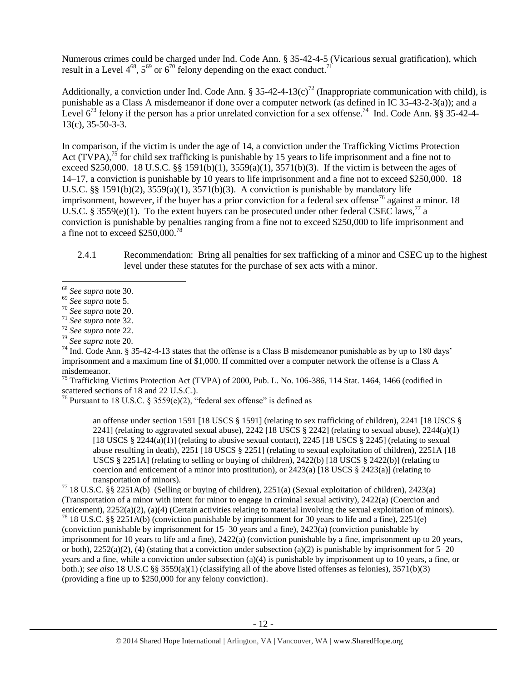Numerous crimes could be charged under Ind. Code Ann. § 35-42-4-5 (Vicarious sexual gratification), which result in a Level  $4^{68}$ ,  $5^{69}$  or  $6^{70}$  felony depending on the exact conduct.<sup>71</sup>

Additionally, a conviction under Ind. Code Ann. § 35-42-4-13(c)<sup>72</sup> (Inappropriate communication with child), is punishable as a Class A misdemeanor if done over a computer network (as defined in IC 35-43-2-3(a)); and a Level  $6^{73}$  felony if the person has a prior unrelated conviction for a sex offense.<sup>74</sup> Ind. Code Ann. §§ 35-42-4-13(c), 35-50-3-3.

<span id="page-11-0"></span>In comparison, if the victim is under the age of 14, a conviction under the Trafficking Victims Protection Act (TVPA),<sup>75</sup> for child sex trafficking is punishable by 15 years to life imprisonment and a fine not to exceed \$250,000. 18 U.S.C. §§ 1591(b)(1), 3559(a)(1), 3571(b)(3). If the victim is between the ages of 14–17, a conviction is punishable by 10 years to life imprisonment and a fine not to exceed \$250,000. 18 U.S.C.  $\S$ § 1591(b)(2), 3559(a)(1), 3571(b)(3). A conviction is punishable by mandatory life imprisonment, however, if the buyer has a prior conviction for a federal sex offense<sup>76</sup> against a minor. 18 U.S.C. § 3559(e)(1). To the extent buyers can be prosecuted under other federal CSEC laws,<sup>77</sup> a conviction is punishable by penalties ranging from a fine not to exceed \$250,000 to life imprisonment and a fine not to exceed  $$250,000.<sup>78</sup>$ 

<span id="page-11-1"></span>2.4.1 Recommendation: Bring all penalties for sex trafficking of a minor and CSEC up to the highest level under these statutes for the purchase of sex acts with a minor.

<sup>74</sup> Ind. Code Ann. § 35-42-4-13 states that the offense is a Class B misdemeanor punishable as by up to 180 days' imprisonment and a maximum fine of \$1,000. If committed over a computer network the offense is a Class A misdemeanor.

<sup>75</sup> Trafficking Victims Protection Act (TVPA) of 2000, Pub. L. No. 106-386, 114 Stat. 1464, 1466 (codified in scattered sections of 18 and 22 U.S.C.).

<sup>76</sup> Pursuant to 18 U.S.C. § 3559(e)(2), "federal sex offense" is defined as

an offense under section 1591 [18 USCS § 1591] (relating to sex trafficking of children), 2241 [18 USCS § 2241] (relating to aggravated sexual abuse),  $2242$  [18 USCS § 2242] (relating to sexual abuse),  $2244(a)(1)$ [18 USCS § 2244(a)(1)] (relating to abusive sexual contact), 2245 [18 USCS § 2245] (relating to sexual abuse resulting in death), 2251 [18 USCS § 2251] (relating to sexual exploitation of children), 2251A [18 USCS § 2251A] (relating to selling or buying of children), 2422(b) [18 USCS § 2422(b)] (relating to coercion and enticement of a minor into prostitution), or  $2423(a)$  [18 USCS §  $2423(a)$ ] (relating to transportation of minors).

<sup>77</sup> 18 U.S.C. §§ 2251A(b) (Selling or buying of children), 2251(a) (Sexual exploitation of children), 2423(a) (Transportation of a minor with intent for minor to engage in criminal sexual activity), 2422(a) (Coercion and enticement), 2252(a)(2), (a)(4) (Certain activities relating to material involving the sexual exploitation of minors).

<sup>78</sup> 18 U.S.C. §§ 2251A(b) (conviction punishable by imprisonment for 30 years to life and a fine), 2251(e) (conviction punishable by imprisonment for 15–30 years and a fine), 2423(a) (conviction punishable by imprisonment for 10 years to life and a fine), 2422(a) (conviction punishable by a fine, imprisonment up to 20 years, or both),  $2252(a)(2)$ , (4) (stating that a conviction under subsection (a)(2) is punishable by imprisonment for  $5-20$ years and a fine, while a conviction under subsection (a)(4) is punishable by imprisonment up to 10 years, a fine, or both.); *see also* 18 U.S.C §§ 3559(a)(1) (classifying all of the above listed offenses as felonies), 3571(b)(3) (providing a fine up to \$250,000 for any felony conviction).

 $\overline{\phantom{a}}$ <sup>68</sup> *See supra* note [30.](#page-5-1) 

<sup>69</sup> *See supra* note [5.](#page-1-0)

<sup>70</sup> *See supra* note [20.](#page-4-0)

<sup>71</sup> *See supra* note [32.](#page-5-2)

<sup>72</sup> *See supra* note [22.](#page-4-2)

<sup>73</sup> *See supra* note [20.](#page-4-0)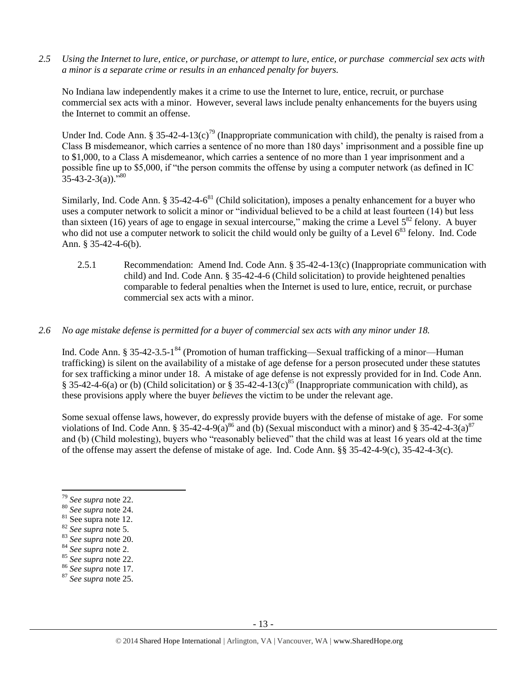*2.5 Using the Internet to lure, entice, or purchase, or attempt to lure, entice, or purchase commercial sex acts with a minor is a separate crime or results in an enhanced penalty for buyers.*

No Indiana law independently makes it a crime to use the Internet to lure, entice, recruit, or purchase commercial sex acts with a minor. However, several laws include penalty enhancements for the buyers using the Internet to commit an offense.

Under Ind. Code Ann. § 35-42-4-13(c)<sup>79</sup> (Inappropriate communication with child), the penalty is raised from a Class B misdemeanor, which carries a sentence of no more than 180 days' imprisonment and a possible fine up to \$1,000, to a Class A misdemeanor, which carries a sentence of no more than 1 year imprisonment and a possible fine up to \$5,000, if "the person commits the offense by using a computer network (as defined in IC  $35-43-2-3(a)$ .<sup>580</sup>

Similarly, Ind. Code Ann. § 35-42-4-6<sup>81</sup> (Child solicitation), imposes a penalty enhancement for a buyer who uses a computer network to solicit a minor or "individual believed to be a child at least fourteen (14) but less than sixteen (16) years of age to engage in sexual intercourse," making the crime a Level  $5^{82}$  felony. A buyer who did not use a computer network to solicit the child would only be guilty of a Level 6<sup>83</sup> felony. Ind. Code Ann. § 35-42-4-6(b).

2.5.1 Recommendation: Amend Ind. Code Ann. § 35-42-4-13(c) (Inappropriate communication with child) and Ind. Code Ann. § 35-42-4-6 (Child solicitation) to provide heightened penalties comparable to federal penalties when the Internet is used to lure, entice, recruit, or purchase commercial sex acts with a minor.

## *2.6 No age mistake defense is permitted for a buyer of commercial sex acts with any minor under 18.*

Ind. Code Ann. § 35-42-3.5-1<sup>84</sup> (Promotion of human trafficking—Sexual trafficking of a minor—Human trafficking) is silent on the availability of a mistake of age defense for a person prosecuted under these statutes for sex trafficking a minor under 18. A mistake of age defense is not expressly provided for in Ind. Code Ann. § 35-42-4-6(a) or (b) (Child solicitation) or § 35-42-4-13(c)<sup>85</sup> (Inappropriate communication with child), as these provisions apply where the buyer *believes* the victim to be under the relevant age.

Some sexual offense laws, however, do expressly provide buyers with the defense of mistake of age. For some violations of Ind. Code Ann. § 35-42-4-9(a)<sup>86</sup> and (b) (Sexual misconduct with a minor) and § 35-42-4-3(a)<sup>87</sup> and (b) (Child molesting), buyers who "reasonably believed" that the child was at least 16 years old at the time of the offense may assert the defense of mistake of age. Ind. Code Ann. §§ 35-42-4-9(c), 35-42-4-3(c).

l

<sup>79</sup> *See supra* note [22.](#page-4-2)

<sup>80</sup> *See supra* note [24.](#page-4-3)

<sup>81</sup> See supra note [12.](#page-3-0)

<sup>82</sup> *See supra* note [5.](#page-1-0)

<sup>83</sup> *See supra* note [20.](#page-4-0)

<sup>84</sup> *See supra* note [2.](#page-0-0)

<sup>85</sup> *See supra* note [22.](#page-4-2)

<sup>86</sup> *See supra* note [17.](#page-4-1)

<sup>87</sup> *See supra* note [25.](#page-5-0)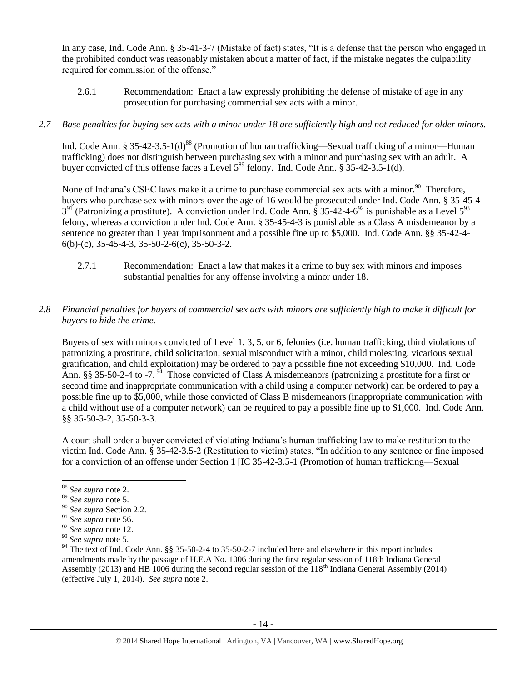In any case, Ind. Code Ann. § 35-41-3-7 (Mistake of fact) states, "It is a defense that the person who engaged in the prohibited conduct was reasonably mistaken about a matter of fact, if the mistake negates the culpability required for commission of the offense."

2.6.1 Recommendation: Enact a law expressly prohibiting the defense of mistake of age in any prosecution for purchasing commercial sex acts with a minor.

# *2.7 Base penalties for buying sex acts with a minor under 18 are sufficiently high and not reduced for older minors.*

Ind. Code Ann. § 35-42-3.5-1(d)<sup>88</sup> (Promotion of human trafficking—Sexual trafficking of a minor—Human trafficking) does not distinguish between purchasing sex with a minor and purchasing sex with an adult. A buyer convicted of this offense faces a Level  $5^{89}$  felony. Ind. Code Ann. § 35-42-3.5-1(d).

None of Indiana's CSEC laws make it a crime to purchase commercial sex acts with a minor.<sup>90</sup> Therefore, buyers who purchase sex with minors over the age of 16 would be prosecuted under Ind. Code Ann. § 35-45-4-  $3<sup>91</sup>$  (Patronizing a prostitute). A conviction under Ind. Code Ann. § 35-42-4-6<sup>92</sup> is punishable as a Level  $5<sup>93</sup>$ felony, whereas a conviction under Ind. Code Ann. § 35-45-4-3 is punishable as a Class A misdemeanor by a sentence no greater than 1 year imprisonment and a possible fine up to \$5,000. Ind. Code Ann. §§ 35-42-4-  $6(b)-(c)$ , 35-45-4-3, 35-50-2-6(c), 35-50-3-2.

- 2.7.1 Recommendation: Enact a law that makes it a crime to buy sex with minors and imposes substantial penalties for any offense involving a minor under 18.
- *2.8 Financial penalties for buyers of commercial sex acts with minors are sufficiently high to make it difficult for buyers to hide the crime.*

<span id="page-13-0"></span>Buyers of sex with minors convicted of Level 1, 3, 5, or 6, felonies (i.e. human trafficking, third violations of patronizing a prostitute, child solicitation, sexual misconduct with a minor, child molesting, vicarious sexual gratification, and child exploitation) may be ordered to pay a possible fine not exceeding \$10,000. Ind. Code Ann. §§ 35-50-2-4 to -7.<sup>94</sup> Those convicted of Class A misdemeanors (patronizing a prostitute for a first or second time and inappropriate communication with a child using a computer network) can be ordered to pay a possible fine up to \$5,000, while those convicted of Class B misdemeanors (inappropriate communication with a child without use of a computer network) can be required to pay a possible fine up to \$1,000. Ind. Code Ann. §§ 35-50-3-2, 35-50-3-3.

A court shall order a buyer convicted of violating Indiana's human trafficking law to make restitution to the victim Ind. Code Ann. § 35-42-3.5-2 (Restitution to victim) states, "In addition to any sentence or fine imposed for a conviction of an offense under Section 1 [IC 35-42-3.5-1 (Promotion of human trafficking—Sexual

<sup>88</sup> *See supra* note [2.](#page-0-0)

<sup>89</sup> *See supra* note [5.](#page-1-0)

<sup>90</sup> *See supra* Section 2.2.

<sup>91</sup> *See supra* note [56.](#page-10-0) 

<sup>92</sup> *See supra* note [12.](#page-3-0) 

<sup>93</sup> *See supra* note [5.](#page-1-0)

<sup>&</sup>lt;sup>94</sup> The text of Ind. Code Ann. §§ 35-50-2-4 to 35-50-2-7 included here and elsewhere in this report includes amendments made by the passage of H.E.A No. 1006 during the first regular session of 118th Indiana General Assembly (2013) and HB 1006 during the second regular session of the  $118<sup>th</sup>$  Indiana General Assembly (2014) (effective July 1, 2014). *See supra* note [2.](#page-0-0)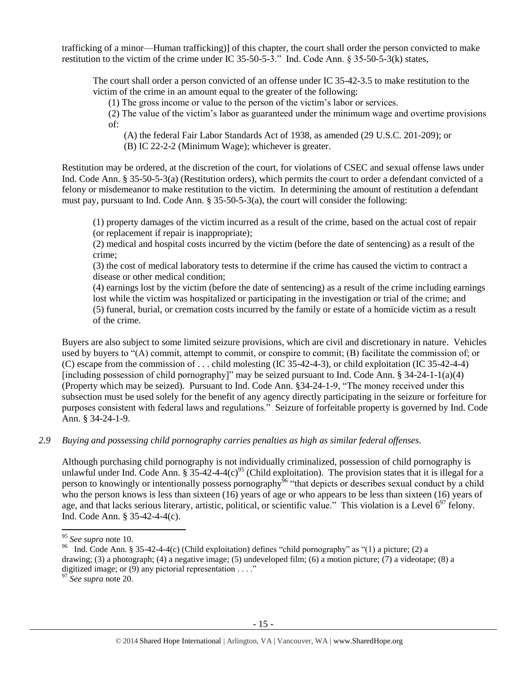trafficking of a minor—Human trafficking)] of this chapter, the court shall order the person convicted to make restitution to the victim of the crime under IC 35-50-5-3." Ind. Code Ann. § 35-50-5-3(k) states,

The court shall order a person convicted of an offense under IC 35-42-3.5 to make restitution to the victim of the crime in an amount equal to the greater of the following:

(1) The gross income or value to the person of the victim's labor or services.

(2) The value of the victim's labor as guaranteed under the minimum wage and overtime provisions of:

(A) the federal Fair Labor Standards Act of 1938, as amended (29 U.S.C. 201-209); or

(B) IC 22-2-2 (Minimum Wage); whichever is greater.

Restitution may be ordered, at the discretion of the court, for violations of CSEC and sexual offense laws under Ind. Code Ann. § 35-50-5-3(a) (Restitution orders), which permits the court to order a defendant convicted of a felony or misdemeanor to make restitution to the victim. In determining the amount of restitution a defendant must pay, pursuant to Ind. Code Ann. § 35-50-5-3(a), the court will consider the following:

(1) property damages of the victim incurred as a result of the crime, based on the actual cost of repair (or replacement if repair is inappropriate);

(2) medical and hospital costs incurred by the victim (before the date of sentencing) as a result of the crime;

(3) the cost of medical laboratory tests to determine if the crime has caused the victim to contract a disease or other medical condition;

(4) earnings lost by the victim (before the date of sentencing) as a result of the crime including earnings lost while the victim was hospitalized or participating in the investigation or trial of the crime; and (5) funeral, burial, or cremation costs incurred by the family or estate of a homicide victim as a result of the crime.

Buyers are also subject to some limited seizure provisions, which are civil and discretionary in nature. Vehicles used by buyers to "(A) commit, attempt to commit, or conspire to commit; (B) facilitate the commission of; or (C) escape from the commission of . . . child molesting (IC 35-42-4-3), or child exploitation (IC 35-42-4-4) [including possession of child pornography]" may be seized pursuant to Ind. Code Ann. § 34-24-1-1(a)(4) (Property which may be seized). Pursuant to Ind. Code Ann. §34-24-1-9, "The money received under this subsection must be used solely for the benefit of any agency directly participating in the seizure or forfeiture for purposes consistent with federal laws and regulations." Seizure of forfeitable property is governed by Ind. Code Ann. § 34-24-1-9.

*2.9 Buying and possessing child pornography carries penalties as high as similar federal offenses.*

Although purchasing child pornography is not individually criminalized, possession of child pornography is unlawful under Ind. Code Ann.  $\S 35-42-4-4(c)^{95}$  (Child exploitation). The provision states that it is illegal for a person to knowingly or intentionally possess pornography<sup>96</sup> "that depicts or describes sexual conduct by a child who the person knows is less than sixteen (16) years of age or who appears to be less than sixteen (16) years of age, and that lacks serious literary, artistic, political, or scientific value." This violation is a Level  $6^{97}$  felony. Ind. Code Ann. § 35-42-4-4(c).

<sup>95</sup> *See supra* note [10.](#page-2-1)

<sup>&</sup>lt;sup>96</sup> Ind. Code Ann. § 35-42-4-4(c) (Child exploitation) defines "child pornography" as "(1) a picture; (2) a drawing; (3) a photograph; (4) a negative image; (5) undeveloped film; (6) a motion picture; (7) a videotape; (8) a digitized image; or (9) any pictorial representation . . . ."

<sup>97</sup> *See supra* note [20.](#page-4-0)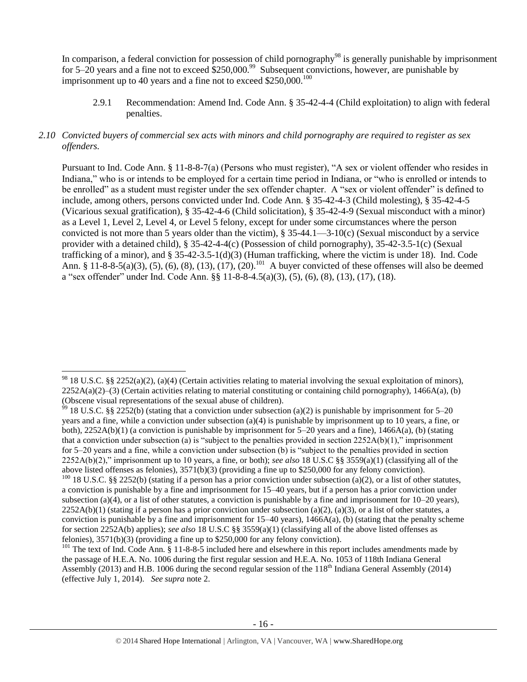In comparison, a federal conviction for possession of child pornography<sup>98</sup> is generally punishable by imprisonment for 5–20 years and a fine not to exceed  $$250,000.<sup>99</sup>$  Subsequent convictions, however, are punishable by imprisonment up to 40 years and a fine not to exceed  $$250,000$ .<sup>100</sup>

2.9.1 Recommendation: Amend Ind. Code Ann. § 35-42-4-4 (Child exploitation) to align with federal penalties.

# *2.10 Convicted buyers of commercial sex acts with minors and child pornography are required to register as sex offenders.*

<span id="page-15-0"></span>Pursuant to Ind. Code Ann. § 11-8-8-7(a) (Persons who must register), "A sex or violent offender who resides in Indiana," who is or intends to be employed for a certain time period in Indiana, or "who is enrolled or intends to be enrolled" as a student must register under the sex offender chapter. A "sex or violent offender" is defined to include, among others, persons convicted under Ind. Code Ann. § 35-42-4-3 (Child molesting), § 35-42-4-5 (Vicarious sexual gratification), § 35-42-4-6 (Child solicitation), § 35-42-4-9 (Sexual misconduct with a minor) as a Level 1, Level 2, Level 4, or Level 5 felony, except for under some circumstances where the person convicted is not more than 5 years older than the victim), § 35-44.1—3-10(c) (Sexual misconduct by a service provider with a detained child), § 35-42-4-4(c) (Possession of child pornography), 35-42-3.5-1(c) (Sexual trafficking of a minor), and § 35-42-3.5-1(d)(3) (Human trafficking, where the victim is under 18). Ind. Code Ann. § 11-8-8-5(a)(3), (5), (6), (8), (13), (17), (20).<sup>101</sup> A buyer convicted of these offenses will also be deemed a "sex offender" under Ind. Code Ann. §§ 11-8-8-4.5(a)(3), (5), (6), (8), (13), (17), (18).

l  $98$  18 U.S.C. §§ 2252(a)(2), (a)(4) (Certain activities relating to material involving the sexual exploitation of minors),  $2252A(a)(2)$ –(3) (Certain activities relating to material constituting or containing child pornography), 1466A(a), (b) (Obscene visual representations of the sexual abuse of children).

<sup>&</sup>lt;sup>99</sup> 18 U.S.C. §§ 2252(b) (stating that a conviction under subsection (a)(2) is punishable by imprisonment for 5–20 years and a fine, while a conviction under subsection (a)(4) is punishable by imprisonment up to 10 years, a fine, or both),  $2252A(b)(1)$  (a conviction is punishable by imprisonment for  $5-20$  years and a fine),  $1466A(a)$ , (b) (stating that a conviction under subsection (a) is "subject to the penalties provided in section 2252A(b)(1)," imprisonment for 5–20 years and a fine, while a conviction under subsection (b) is "subject to the penalties provided in section 2252A(b)(2)," imprisonment up to 10 years, a fine, or both); *see also* 18 U.S.C §§ 3559(a)(1) (classifying all of the above listed offenses as felonies), 3571(b)(3) (providing a fine up to \$250,000 for any felony conviction).  $100$  18 U.S.C. §§ 2252(b) (stating if a person has a prior conviction under subsection (a)(2), or a list of other statutes, a conviction is punishable by a fine and imprisonment for 15–40 years, but if a person has a prior conviction under subsection (a)(4), or a list of other statutes, a conviction is punishable by a fine and imprisonment for  $10-20$  years),  $2252A(b)(1)$  (stating if a person has a prior conviction under subsection (a)(2), (a)(3), or a list of other statutes, a conviction is punishable by a fine and imprisonment for  $15-40$  years),  $1466A(a)$ , (b) (stating that the penalty scheme

for section 2252A(b) applies); *see also* 18 U.S.C §§ 3559(a)(1) (classifying all of the above listed offenses as felonies), 3571(b)(3) (providing a fine up to \$250,000 for any felony conviction).

<sup>&</sup>lt;sup>101</sup> The text of Ind. Code Ann.  $\S$  11-8-8-5 included here and elsewhere in this report includes amendments made by the passage of H.E.A. No. 1006 during the first regular session and H.E.A. No. 1053 of 118th Indiana General Assembly (2013) and H.B. 1006 during the second regular session of the 118<sup>th</sup> Indiana General Assembly (2014) (effective July 1, 2014). *See supra* not[e 2.](#page-0-0)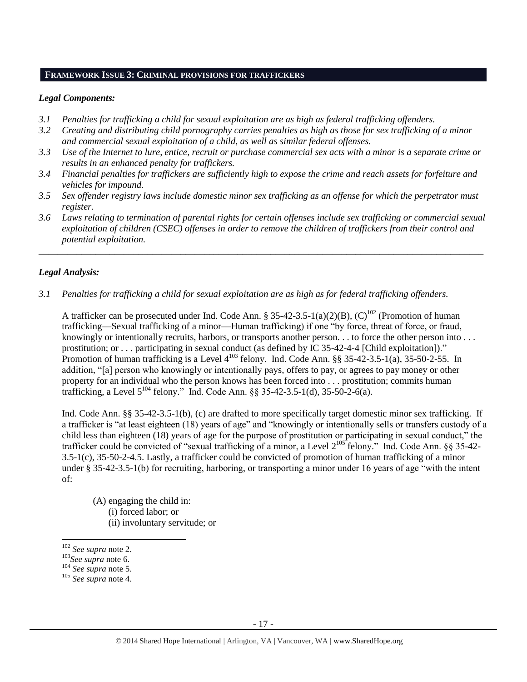#### **FRAMEWORK ISSUE 3: CRIMINAL PROVISIONS FOR TRAFFICKERS**

#### *Legal Components:*

- *3.1 Penalties for trafficking a child for sexual exploitation are as high as federal trafficking offenders.*
- *3.2 Creating and distributing child pornography carries penalties as high as those for sex trafficking of a minor and commercial sexual exploitation of a child, as well as similar federal offenses.*
- *3.3 Use of the Internet to lure, entice, recruit or purchase commercial sex acts with a minor is a separate crime or results in an enhanced penalty for traffickers.*
- *3.4 Financial penalties for traffickers are sufficiently high to expose the crime and reach assets for forfeiture and vehicles for impound.*
- *3.5 Sex offender registry laws include domestic minor sex trafficking as an offense for which the perpetrator must register.*
- *3.6 Laws relating to termination of parental rights for certain offenses include sex trafficking or commercial sexual exploitation of children (CSEC) offenses in order to remove the children of traffickers from their control and potential exploitation.*

*\_\_\_\_\_\_\_\_\_\_\_\_\_\_\_\_\_\_\_\_\_\_\_\_\_\_\_\_\_\_\_\_\_\_\_\_\_\_\_\_\_\_\_\_\_\_\_\_\_\_\_\_\_\_\_\_\_\_\_\_\_\_\_\_\_\_\_\_\_\_\_\_\_\_\_\_\_\_\_\_\_\_\_\_\_\_\_\_\_\_\_\_\_\_*

## *Legal Analysis:*

*3.1 Penalties for trafficking a child for sexual exploitation are as high as for federal trafficking offenders.* 

A trafficker can be prosecuted under Ind. Code Ann. § 35-42-3.5-1(a)(2)(B), (C)<sup>102</sup> (Promotion of human trafficking—Sexual trafficking of a minor—Human trafficking) if one "by force, threat of force, or fraud, knowingly or intentionally recruits, harbors, or transports another person. . . to force the other person into . . . prostitution; or . . . participating in sexual conduct (as defined by IC 35-42-4-4 [Child exploitation])." Promotion of human trafficking is a Level  $4^{103}$  felony. Ind. Code Ann. §§ 35-42-3.5-1(a), 35-50-2-55. In addition, "[a] person who knowingly or intentionally pays, offers to pay, or agrees to pay money or other property for an individual who the person knows has been forced into . . . prostitution; commits human trafficking, a Level  $5^{104}$  felony." Ind. Code Ann. §§ 35-42-3.5-1(d), 35-50-2-6(a).

Ind. Code Ann. §§ 35-42-3.5-1(b), (c) are drafted to more specifically target domestic minor sex trafficking. If a trafficker is "at least eighteen (18) years of age" and "knowingly or intentionally sells or transfers custody of a child less than eighteen (18) years of age for the purpose of prostitution or participating in sexual conduct," the trafficker could be convicted of "sexual trafficking of a minor, a Level  $2^{105}$  felony." Ind. Code Ann. §§ 35-42-3.5-1(c), 35-50-2-4.5. Lastly, a trafficker could be convicted of promotion of human trafficking of a minor under § 35-42-3.5-1(b) for recruiting, harboring, or transporting a minor under 16 years of age "with the intent of:

(A) engaging the child in: (i) forced labor; or (ii) involuntary servitude; or

<sup>102</sup> *See supra* not[e 2.](#page-0-0)

<sup>103</sup>*See supra* note [6.](#page-2-0)

<sup>104</sup> *See supra* note [5.](#page-1-0)

<sup>105</sup> *See supra* note [4.](#page-1-2)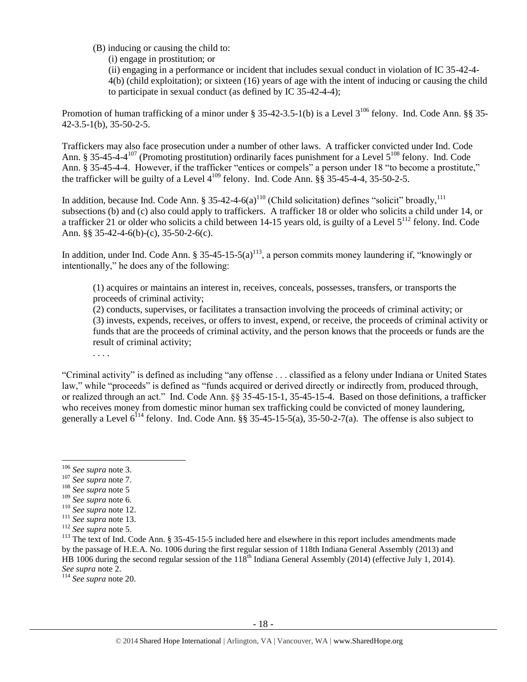- (B) inducing or causing the child to:
	- (i) engage in prostitution; or

(ii) engaging in a performance or incident that includes sexual conduct in violation of IC 35-42-4- 4(b) (child exploitation); or sixteen (16) years of age with the intent of inducing or causing the child to participate in sexual conduct (as defined by IC 35-42-4-4);

Promotion of human trafficking of a minor under § 35-42-3.5-1(b) is a Level  $3^{106}$  felony. Ind. Code Ann. §§ 35-42-3.5-1(b), 35-50-2-5.

Traffickers may also face prosecution under a number of other laws. A trafficker convicted under Ind. Code Ann. § 35-45-4-4<sup>107</sup> (Promoting prostitution) ordinarily faces punishment for a Level  $5^{108}$  felony. Ind. Code Ann. § 35-45-4-4. However, if the trafficker "entices or compels" a person under 18 "to become a prostitute," the trafficker will be guilty of a Level  $4^{109}$  felony. Ind. Code Ann.  $\S\hat{S}$  35-45-4-4, 35-50-2-5.

In addition, because Ind. Code Ann. § 35-42-4-6(a)<sup>110</sup> (Child solicitation) defines "solicit" broadly,<sup>111</sup> subsections (b) and (c) also could apply to traffickers. A trafficker 18 or older who solicits a child under 14, or a trafficker 21 or older who solicits a child between 14-15 years old, is guilty of a Level  $5^{112}$  felony. Ind. Code Ann. §§ 35-42-4-6(b)-(c), 35-50-2-6(c).

In addition, under Ind. Code Ann. § 35-45-15-5(a)<sup>113</sup>, a person commits money laundering if, "knowingly or intentionally," he does any of the following:

<span id="page-17-0"></span>(1) acquires or maintains an interest in, receives, conceals, possesses, transfers, or transports the proceeds of criminal activity;

(2) conducts, supervises, or facilitates a transaction involving the proceeds of criminal activity; or (3) invests, expends, receives, or offers to invest, expend, or receive, the proceeds of criminal activity or funds that are the proceeds of criminal activity, and the person knows that the proceeds or funds are the result of criminal activity;

. . . .

"Criminal activity" is defined as including "any offense . . . classified as a felony under Indiana or United States law," while "proceeds" is defined as "funds acquired or derived directly or indirectly from, produced through, or realized through an act." Ind. Code Ann. §§ 35-45-15-1, 35-45-15-4. Based on those definitions, a trafficker who receives money from domestic minor human sex trafficking could be convicted of money laundering, generally a Level  $6^{114}$  felony. Ind. Code Ann. §§ 35-45-15-5(a), 35-50-2-7(a). The offense is also subject to

 $\overline{a}$ 

- <sup>108</sup> *See supra* not[e 5](#page-1-0)
- <sup>109</sup> *See supra* not[e 6.](#page-2-0)

<sup>114</sup> *See supra* note [20.](#page-4-0)

<sup>106</sup> *See supra* note [3.](#page-1-1)

<sup>107</sup> *See supra* not[e 7.](#page-2-2)

<sup>110</sup> *See supra* not[e 12.](#page-3-0)

<sup>111</sup> *See supra* not[e 13.](#page-3-1)

<sup>112</sup> *See supra* not[e 5.](#page-1-0)

<sup>&</sup>lt;sup>113</sup> The text of Ind. Code Ann. § 35-45-15-5 included here and elsewhere in this report includes amendments made by the passage of H.E.A. No. 1006 during the first regular session of 118th Indiana General Assembly (2013) and HB 1006 during the second regular session of the  $118<sup>th</sup>$  Indiana General Assembly (2014) (effective July 1, 2014). *See supra* note [2.](#page-0-0)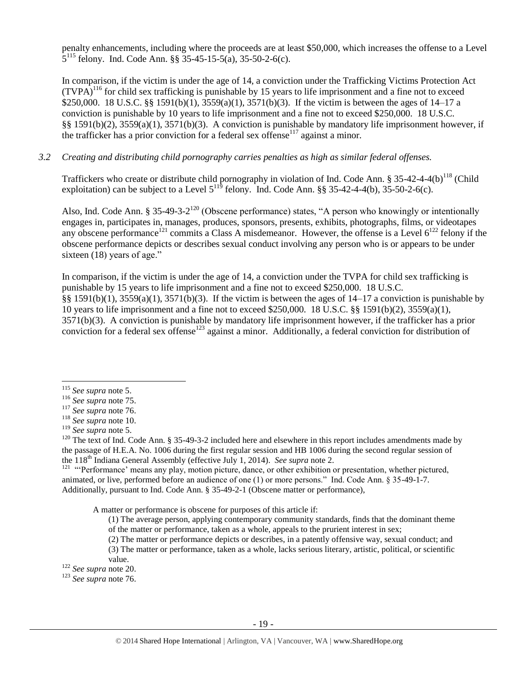penalty enhancements, including where the proceeds are at least \$50,000, which increases the offense to a Level  $5^{115}$  felony. Ind. Code Ann. §§ 35-45-15-5(a), 35-50-2-6(c).

In comparison, if the victim is under the age of 14, a conviction under the Trafficking Victims Protection Act  $(TVPA)^{116}$  for child sex trafficking is punishable by 15 years to life imprisonment and a fine not to exceed \$250,000. 18 U.S.C. §§ 1591(b)(1), 3559(a)(1), 3571(b)(3). If the victim is between the ages of 14–17 a conviction is punishable by 10 years to life imprisonment and a fine not to exceed \$250,000. 18 U.S.C. §§ 1591(b)(2), 3559(a)(1), 3571(b)(3). A conviction is punishable by mandatory life imprisonment however, if the trafficker has a prior conviction for a federal sex offense<sup> $117$ </sup> against a minor.

## *3.2 Creating and distributing child pornography carries penalties as high as similar federal offenses.*

Traffickers who create or distribute child pornography in violation of Ind. Code Ann. § 35-42-4-4(b)<sup>118</sup> (Child exploitation) can be subject to a Level  $5^{115}$  felony. Ind. Code Ann. §§ 35-42-4-4(b), 35-50-2-6(c).

<span id="page-18-1"></span><span id="page-18-0"></span>Also, Ind. Code Ann. § 35-49-3-2<sup>120</sup> (Obscene performance) states, "A person who knowingly or intentionally engages in, participates in, manages, produces, sponsors, presents, exhibits, photographs, films, or videotapes any obscene performance<sup>121</sup> commits a Class A misdemeanor. However, the offense is a Level  $6^{122}$  felony if the obscene performance depicts or describes sexual conduct involving any person who is or appears to be under sixteen (18) years of age."

In comparison, if the victim is under the age of 14, a conviction under the TVPA for child sex trafficking is punishable by 15 years to life imprisonment and a fine not to exceed \$250,000. 18 U.S.C. §§ 1591(b)(1), 3559(a)(1), 3571(b)(3). If the victim is between the ages of 14–17 a conviction is punishable by 10 years to life imprisonment and a fine not to exceed \$250,000. 18 U.S.C. §§ 1591(b)(2), 3559(a)(1), 3571(b)(3). A conviction is punishable by mandatory life imprisonment however, if the trafficker has a prior conviction for a federal sex offense<sup>123</sup> against a minor. Additionally, a federal conviction for distribution of

 $\overline{a}$ 

<sup>121</sup> "Performance' means any play, motion picture, dance, or other exhibition or presentation, whether pictured, animated, or live, performed before an audience of one (1) or more persons." Ind. Code Ann. § 35-49-1-7. Additionally, pursuant to Ind. Code Ann. § 35-49-2-1 (Obscene matter or performance),

A matter or performance is obscene for purposes of this article if:

- (1) The average person, applying contemporary community standards, finds that the dominant theme of the matter or performance, taken as a whole, appeals to the prurient interest in sex;
- (2) The matter or performance depicts or describes, in a patently offensive way, sexual conduct; and
- (3) The matter or performance, taken as a whole, lacks serious literary, artistic, political, or scientific

<sup>115</sup> *See supra* note [5.](#page-1-0)

<sup>116</sup> *See supra* not[e 75.](#page-11-0)

<sup>117</sup> *See supra* not[e 76.](#page-11-1)

<sup>118</sup> *See supra* not[e 10.](#page-2-1)

<sup>119</sup> *See supra* note [5.](#page-1-0)

 $120$  The text of Ind. Code Ann. § 35-49-3-2 included here and elsewhere in this report includes amendments made by the passage of H.E.A. No. 1006 during the first regular session and HB 1006 during the second regular session of the 118th Indiana General Assembly (effective July 1, 2014). *See supra* not[e 2.](#page-0-0)

value.

<sup>122</sup> *See supra* note [20.](#page-4-0)

<sup>123</sup> *See supra* not[e 76.](#page-11-1)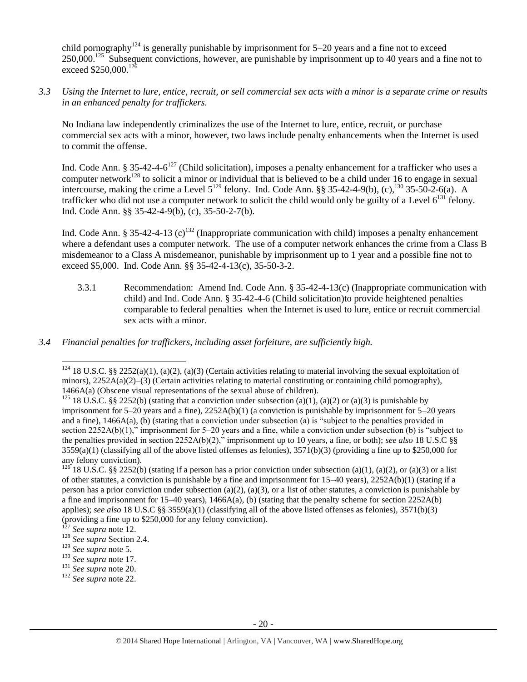child pornography<sup>124</sup> is generally punishable by imprisonment for  $5-20$  years and a fine not to exceed  $250,000$ .<sup>125</sup> Subsequent convictions, however, are punishable by imprisonment up to 40 years and a fine not to exceed \$250,000.<sup>126</sup>

*3.3 Using the Internet to lure, entice, recruit, or sell commercial sex acts with a minor is a separate crime or results in an enhanced penalty for traffickers.*

No Indiana law independently criminalizes the use of the Internet to lure, entice, recruit, or purchase commercial sex acts with a minor, however, two laws include penalty enhancements when the Internet is used to commit the offense.

Ind. Code Ann. § 35-42-4-6<sup>127</sup> (Child solicitation), imposes a penalty enhancement for a trafficker who uses a computer network<sup>128</sup> to solicit a minor or individual that is believed to be a child under 16 to engage in sexual intercourse, making the crime a Level  $5^{129}$  felony. Ind. Code Ann. §§ 35-42-4-9(b), (c), $^{130}$  35-50-2-6(a). A trafficker who did not use a computer network to solicit the child would only be guilty of a Level  $6^{131}$  felony. Ind. Code Ann. §§ 35-42-4-9(b), (c), 35-50-2-7(b).

Ind. Code Ann. § 35-42-4-13 (c)<sup>132</sup> (Inappropriate communication with child) imposes a penalty enhancement where a defendant uses a computer network. The use of a computer network enhances the crime from a Class B misdemeanor to a Class A misdemeanor, punishable by imprisonment up to 1 year and a possible fine not to exceed \$5,000. Ind. Code Ann. §§ 35-42-4-13(c), 35-50-3-2.

- 3.3.1 Recommendation: Amend Ind. Code Ann. § 35-42-4-13(c) (Inappropriate communication with child) and Ind. Code Ann. § 35-42-4-6 (Child solicitation)to provide heightened penalties comparable to federal penalties when the Internet is used to lure, entice or recruit commercial sex acts with a minor.
- *3.4 Financial penalties for traffickers, including asset forfeiture, are sufficiently high.*

<sup>&</sup>lt;sup>124</sup> 18 U.S.C. §§ 2252(a)(1), (a)(2), (a)(3) (Certain activities relating to material involving the sexual exploitation of minors), 2252A(a)(2)–(3) (Certain activities relating to material constituting or containing child pornography), 1466A(a) (Obscene visual representations of the sexual abuse of children).

<sup>&</sup>lt;sup>125</sup> 18 U.S.C. §§ 2252(b) (stating that a conviction under subsection (a)(1), (a)(2) or (a)(3) is punishable by imprisonment for 5–20 years and a fine), 2252A(b)(1) (a conviction is punishable by imprisonment for 5–20 years and a fine), 1466A(a), (b) (stating that a conviction under subsection (a) is "subject to the penalties provided in section 2252A(b)(1)," imprisonment for 5–20 years and a fine, while a conviction under subsection (b) is "subject to the penalties provided in section 2252A(b)(2)," imprisonment up to 10 years, a fine, or both); *see also* 18 U.S.C §§  $3559(a)(1)$  (classifying all of the above listed offenses as felonies),  $3571(b)(3)$  (providing a fine up to \$250,000 for any felony conviction).

<sup>&</sup>lt;sup>126</sup> 18 U.S.C. §§ 2252(b) (stating if a person has a prior conviction under subsection (a)(1), (a)(2), or (a)(3) or a list of other statutes, a conviction is punishable by a fine and imprisonment for  $15-40$  years),  $2252A(b)(1)$  (stating if a person has a prior conviction under subsection (a)(2), (a)(3), or a list of other statutes, a conviction is punishable by a fine and imprisonment for  $15-40$  years),  $1466A(a)$ , (b) (stating that the penalty scheme for section  $2252A(b)$ applies); *see also* 18 U.S.C §§ 3559(a)(1) (classifying all of the above listed offenses as felonies), 3571(b)(3) (providing a fine up to \$250,000 for any felony conviction).

See supra not[e 12.](#page-3-0)

<sup>128</sup> *See supra* Section 2.4.

<sup>129</sup> *See supra* not[e 5.](#page-1-0)

<sup>130</sup> *See supra* not[e 17.](#page-4-1)

<sup>131</sup> *See supra* not[e 20.](#page-4-0)

<sup>132</sup> *See supra* not[e 22.](#page-4-2)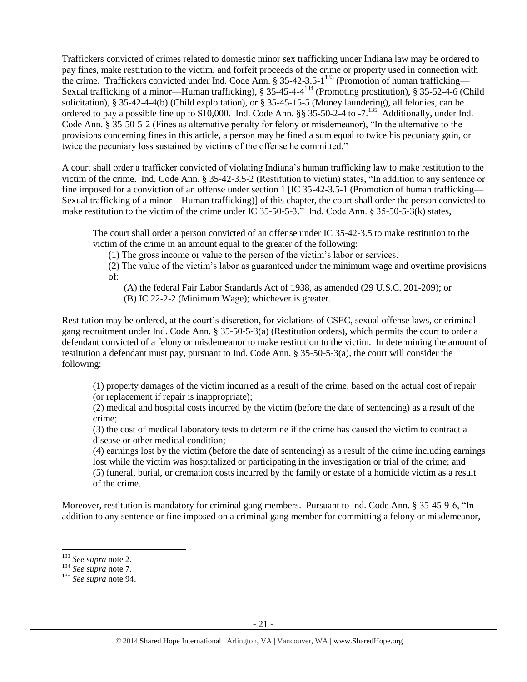Traffickers convicted of crimes related to domestic minor sex trafficking under Indiana law may be ordered to pay fines, make restitution to the victim, and forfeit proceeds of the crime or property used in connection with the crime. Traffickers convicted under Ind. Code Ann. § 35-42-3.5-1<sup>133</sup> (Promotion of human trafficking— Sexual trafficking of a minor—Human trafficking), § 35-45-4-4<sup>134</sup> (Promoting prostitution), § 35-52-4-6 (Child solicitation), § 35-42-4-4(b) (Child exploitation), or § 35-45-15-5 (Money laundering), all felonies, can be ordered to pay a possible fine up to  $$10,000$ . Ind. Code Ann.  $\S$  35-50-2-4 to -7.<sup>135</sup> Additionally, under Ind. Code Ann. § 35-50-5-2 (Fines as alternative penalty for felony or misdemeanor), "In the alternative to the provisions concerning fines in this article, a person may be fined a sum equal to twice his pecuniary gain, or twice the pecuniary loss sustained by victims of the offense he committed."

A court shall order a trafficker convicted of violating Indiana's human trafficking law to make restitution to the victim of the crime. Ind. Code Ann. § 35-42-3.5-2 (Restitution to victim) states, "In addition to any sentence or fine imposed for a conviction of an offense under section 1 [IC 35-42-3.5-1 (Promotion of human trafficking— Sexual trafficking of a minor—Human trafficking)] of this chapter, the court shall order the person convicted to make restitution to the victim of the crime under IC 35-50-5-3." Ind. Code Ann. § 35-50-5-3(k) states,

The court shall order a person convicted of an offense under IC 35-42-3.5 to make restitution to the victim of the crime in an amount equal to the greater of the following:

(1) The gross income or value to the person of the victim's labor or services.

(2) The value of the victim's labor as guaranteed under the minimum wage and overtime provisions of:

(A) the federal Fair Labor Standards Act of 1938, as amended (29 U.S.C. 201-209); or

(B) IC 22-2-2 (Minimum Wage); whichever is greater.

Restitution may be ordered, at the court's discretion, for violations of CSEC, sexual offense laws, or criminal gang recruitment under Ind. Code Ann. § 35-50-5-3(a) (Restitution orders), which permits the court to order a defendant convicted of a felony or misdemeanor to make restitution to the victim. In determining the amount of restitution a defendant must pay, pursuant to Ind. Code Ann. § 35-50-5-3(a), the court will consider the following:

(1) property damages of the victim incurred as a result of the crime, based on the actual cost of repair (or replacement if repair is inappropriate);

(2) medical and hospital costs incurred by the victim (before the date of sentencing) as a result of the crime;

(3) the cost of medical laboratory tests to determine if the crime has caused the victim to contract a disease or other medical condition;

(4) earnings lost by the victim (before the date of sentencing) as a result of the crime including earnings lost while the victim was hospitalized or participating in the investigation or trial of the crime; and (5) funeral, burial, or cremation costs incurred by the family or estate of a homicide victim as a result of the crime.

Moreover, restitution is mandatory for criminal gang members. Pursuant to Ind. Code Ann. § 35-45-9-6, "In addition to any sentence or fine imposed on a criminal gang member for committing a felony or misdemeanor,

<sup>133</sup> *See supra* not[e 2.](#page-0-0)

<sup>134</sup> *See supra* not[e 7.](#page-2-2)

<sup>135</sup> *See supra* not[e 94.](#page-13-0)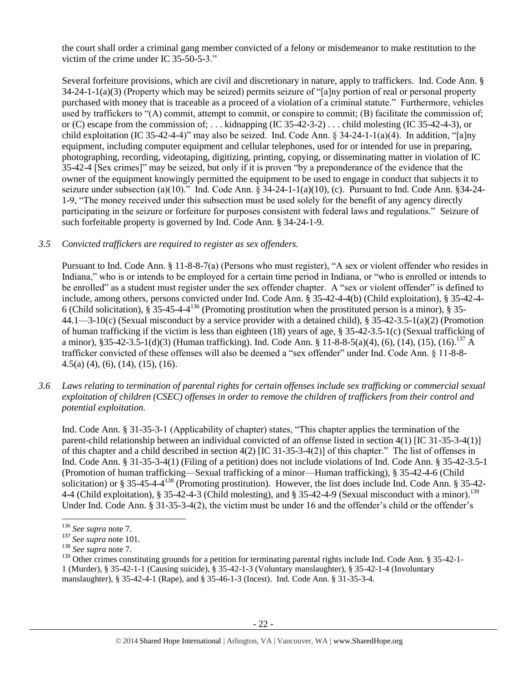the court shall order a criminal gang member convicted of a felony or misdemeanor to make restitution to the victim of the crime under IC 35-50-5-3."

Several forfeiture provisions, which are civil and discretionary in nature, apply to traffickers. Ind. Code Ann. § 34-24-1-1(a)(3) (Property which may be seized) permits seizure of "[a]ny portion of real or personal property purchased with money that is traceable as a proceed of a violation of a criminal statute." Furthermore, vehicles used by traffickers to "(A) commit, attempt to commit, or conspire to commit; (B) facilitate the commission of; or (C) escape from the commission of; ... kidnapping (IC 35-42-3-2) ... child molesting (IC 35-42-4-3), or child exploitation (IC 35-42-4-4)" may also be seized. Ind. Code Ann. § 34-24-1-1(a)(4). In addition, "[a]ny equipment, including computer equipment and cellular telephones, used for or intended for use in preparing, photographing, recording, videotaping, digitizing, printing, copying, or disseminating matter in violation of IC 35-42-4 [Sex crimes]" may be seized, but only if it is proven "by a preponderance of the evidence that the owner of the equipment knowingly permitted the equipment to be used to engage in conduct that subjects it to seizure under subsection (a)(10)." Ind. Code Ann. § 34-24-1-1(a)(10), (c). Pursuant to Ind. Code Ann. §34-24- 1-9, "The money received under this subsection must be used solely for the benefit of any agency directly participating in the seizure or forfeiture for purposes consistent with federal laws and regulations." Seizure of such forfeitable property is governed by Ind. Code Ann. § 34-24-1-9.

# *3.5 Convicted traffickers are required to register as sex offenders.*

Pursuant to Ind. Code Ann. § 11-8-8-7(a) (Persons who must register), "A sex or violent offender who resides in Indiana," who is or intends to be employed for a certain time period in Indiana, or "who is enrolled or intends to be enrolled" as a student must register under the sex offender chapter. A "sex or violent offender" is defined to include, among others, persons convicted under Ind. Code Ann. § 35-42-4-4(b) (Child exploitation), § 35-42-4- 6 (Child solicitation),  $\S$  35-45-4-4<sup>136</sup> (Promoting prostitution when the prostituted person is a minor),  $\S$  35-44.1—3-10(c) (Sexual misconduct by a service provider with a detained child), § 35-42-3.5-1(a)(2) (Promotion of human trafficking if the victim is less than eighteen (18) years of age, § 35-42-3.5-1(c) (Sexual trafficking of a minor), §35-42-3.5-1(d)(3) (Human trafficking). Ind. Code Ann. § 11-8-8-5(a)(4), (6), (14), (15), (16).<sup>137</sup> A trafficker convicted of these offenses will also be deemed a "sex offender" under Ind. Code Ann. § 11-8-8- 4.5(a) (4), (6), (14), (15), (16).

*3.6 Laws relating to termination of parental rights for certain offenses include sex trafficking or commercial sexual exploitation of children (CSEC) offenses in order to remove the children of traffickers from their control and potential exploitation.* 

Ind. Code Ann. § 31-35-3-1 (Applicability of chapter) states, "This chapter applies the termination of the parent-child relationship between an individual convicted of an offense listed in section 4(1) [IC 31-35-3-4(1)] of this chapter and a child described in section 4(2) [IC 31-35-3-4(2)] of this chapter." The list of offenses in Ind. Code Ann. § 31-35-3-4(1) (Filing of a petition) does not include violations of Ind. Code Ann. § 35-42-3.5-1 (Promotion of human trafficking—Sexual trafficking of a minor—Human trafficking), § 35-42-4-6 (Child solicitation) or § 35-45-4-4<sup>138</sup> (Promoting prostitution). However, the list does include Ind. Code Ann. § 35-42-4-4 (Child exploitation), § 35-42-4-3 (Child molesting), and § 35-42-4-9 (Sexual misconduct with a minor).<sup>139</sup> Under Ind. Code Ann. § 31-35-3-4(2), the victim must be under 16 and the offender's child or the offender's

l <sup>136</sup> *See supra* not[e 7.](#page-2-2)

<sup>137</sup> *See supra* note [101.](#page-15-0)

<sup>138</sup> *See supra* not[e 7.](#page-2-2)

<sup>&</sup>lt;sup>139</sup> Other crimes constituting grounds for a petition for terminating parental rights include Ind. Code Ann. § 35-42-1-1 (Murder), § 35-42-1-1 (Causing suicide), § 35-42-1-3 (Voluntary manslaughter), § 35-42-1-4 (Involuntary manslaughter), § 35-42-4-1 (Rape), and § 35-46-1-3 (Incest). Ind. Code Ann. § 31-35-3-4.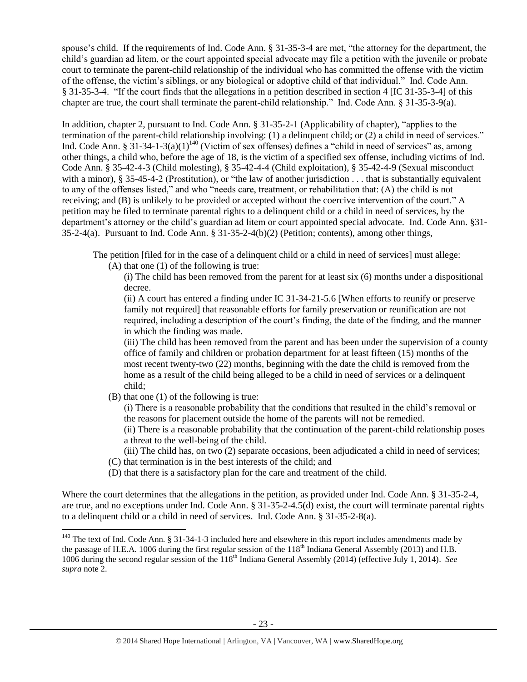spouse's child. If the requirements of Ind. Code Ann. § 31-35-3-4 are met, "the attorney for the department, the child's guardian ad litem, or the court appointed special advocate may file a petition with the juvenile or probate court to terminate the parent-child relationship of the individual who has committed the offense with the victim of the offense, the victim's siblings, or any biological or adoptive child of that individual." Ind. Code Ann. § 31-35-3-4. "If the court finds that the allegations in a petition described in section 4 [IC 31-35-3-4] of this chapter are true, the court shall terminate the parent-child relationship." Ind. Code Ann. § 31-35-3-9(a).

<span id="page-22-0"></span>In addition, chapter 2, pursuant to Ind. Code Ann. § 31-35-2-1 (Applicability of chapter), "applies to the termination of the parent-child relationship involving: (1) a delinquent child; or (2) a child in need of services." Ind. Code Ann. §  $31-34-1-3(a)(1)^{140}$  (Victim of sex offenses) defines a "child in need of services" as, among other things, a child who, before the age of 18, is the victim of a specified sex offense, including victims of Ind. Code Ann. § 35-42-4-3 (Child molesting), § 35-42-4-4 (Child exploitation), § 35-42-4-9 (Sexual misconduct with a minor), § 35-45-4-2 (Prostitution), or "the law of another jurisdiction . . . that is substantially equivalent to any of the offenses listed," and who "needs care, treatment, or rehabilitation that: (A) the child is not receiving; and (B) is unlikely to be provided or accepted without the coercive intervention of the court." A petition may be filed to terminate parental rights to a delinquent child or a child in need of services, by the department's attorney or the child's guardian ad litem or court appointed special advocate. Ind. Code Ann. §31- 35-2-4(a). Pursuant to Ind. Code Ann. § 31-35-2-4(b)(2) (Petition; contents), among other things,

The petition [filed for in the case of a delinquent child or a child in need of services] must allege:

(A) that one (1) of the following is true:

(i) The child has been removed from the parent for at least six (6) months under a dispositional decree.

(ii) A court has entered a finding under IC 31-34-21-5.6 [When efforts to reunify or preserve family not required] that reasonable efforts for family preservation or reunification are not required, including a description of the court's finding, the date of the finding, and the manner in which the finding was made.

(iii) The child has been removed from the parent and has been under the supervision of a county office of family and children or probation department for at least fifteen (15) months of the most recent twenty-two (22) months, beginning with the date the child is removed from the home as a result of the child being alleged to be a child in need of services or a delinquent child;

(B) that one (1) of the following is true:

 $\overline{a}$ 

(i) There is a reasonable probability that the conditions that resulted in the child's removal or the reasons for placement outside the home of the parents will not be remedied.

(ii) There is a reasonable probability that the continuation of the parent-child relationship poses a threat to the well-being of the child.

(iii) The child has, on two (2) separate occasions, been adjudicated a child in need of services;

- (C) that termination is in the best interests of the child; and
- (D) that there is a satisfactory plan for the care and treatment of the child.

Where the court determines that the allegations in the petition, as provided under Ind. Code Ann. § 31-35-2-4, are true, and no exceptions under Ind. Code Ann. § 31-35-2-4.5(d) exist, the court will terminate parental rights to a delinquent child or a child in need of services. Ind. Code Ann. § 31-35-2-8(a).

 $140$  The text of Ind. Code Ann. § 31-34-1-3 included here and elsewhere in this report includes amendments made by the passage of H.E.A. 1006 during the first regular session of the 118<sup>th</sup> Indiana General Assembly (2013) and H.B. 1006 during the second regular session of the 118<sup>th</sup> Indiana General Assembly (2014) (effective July 1, 2014). *See supra* note [2.](#page-0-0)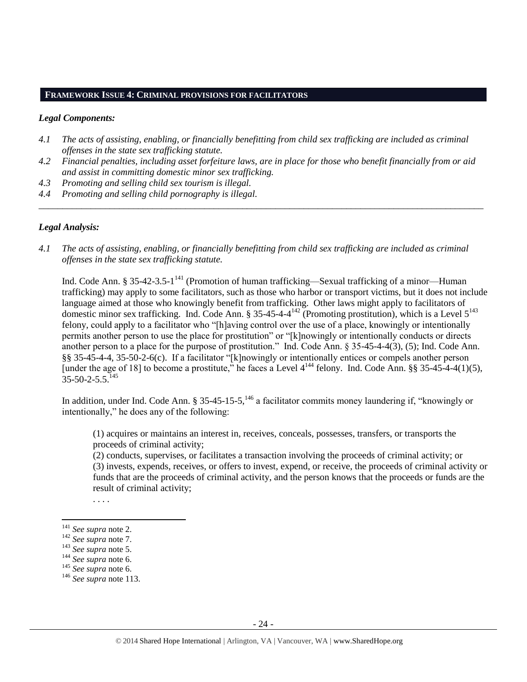#### **FRAMEWORK ISSUE 4: CRIMINAL PROVISIONS FOR FACILITATORS**

#### *Legal Components:*

- *4.1 The acts of assisting, enabling, or financially benefitting from child sex trafficking are included as criminal offenses in the state sex trafficking statute.*
- *4.2 Financial penalties, including asset forfeiture laws, are in place for those who benefit financially from or aid and assist in committing domestic minor sex trafficking.*

*\_\_\_\_\_\_\_\_\_\_\_\_\_\_\_\_\_\_\_\_\_\_\_\_\_\_\_\_\_\_\_\_\_\_\_\_\_\_\_\_\_\_\_\_\_\_\_\_\_\_\_\_\_\_\_\_\_\_\_\_\_\_\_\_\_\_\_\_\_\_\_\_\_\_\_\_\_\_\_\_\_\_\_\_\_\_\_\_\_\_\_\_\_\_*

- *4.3 Promoting and selling child sex tourism is illegal.*
- *4.4 Promoting and selling child pornography is illegal.*

## *Legal Analysis:*

*4.1 The acts of assisting, enabling, or financially benefitting from child sex trafficking are included as criminal offenses in the state sex trafficking statute.*

Ind. Code Ann. § 35-42-3.5-1<sup>141</sup> (Promotion of human trafficking—Sexual trafficking of a minor—Human trafficking) may apply to some facilitators, such as those who harbor or transport victims, but it does not include language aimed at those who knowingly benefit from trafficking. Other laws might apply to facilitators of domestic minor sex trafficking. Ind. Code Ann. § 35-45-4-4<sup>142</sup> (Promoting prostitution), which is a Level  $5^{143}$ felony, could apply to a facilitator who "[h]aving control over the use of a place, knowingly or intentionally permits another person to use the place for prostitution" or "[k]nowingly or intentionally conducts or directs another person to a place for the purpose of prostitution." Ind. Code Ann. § 35-45-4-4(3), (5); Ind. Code Ann. §§ 35-45-4-4, 35-50-2-6(c). If a facilitator "[k]nowingly or intentionally entices or compels another person [under the age of 18] to become a prostitute," he faces a Level  $4^{144}$  felony. Ind. Code Ann. §§ 35-45-4-4(1)(5),  $35 - 50 - 2 - 5.5$ <sup>145</sup>

In addition, under Ind. Code Ann. § 35-45-15-5,<sup>146</sup> a facilitator commits money laundering if, "knowingly or intentionally," he does any of the following:

(1) acquires or maintains an interest in, receives, conceals, possesses, transfers, or transports the proceeds of criminal activity;

(2) conducts, supervises, or facilitates a transaction involving the proceeds of criminal activity; or (3) invests, expends, receives, or offers to invest, expend, or receive, the proceeds of criminal activity or funds that are the proceeds of criminal activity, and the person knows that the proceeds or funds are the result of criminal activity;

. . . .

<sup>141</sup> *See supra* not[e 2.](#page-0-0)

<sup>142</sup> *See supra* not[e 7.](#page-2-2)

<sup>143</sup> *See supra* not[e 5.](#page-1-0)

<sup>144</sup> *See supra* not[e 6.](#page-2-0)

<sup>145</sup> *See supra* not[e 6.](#page-2-0)

<sup>146</sup> *See supra* not[e 113.](#page-17-0)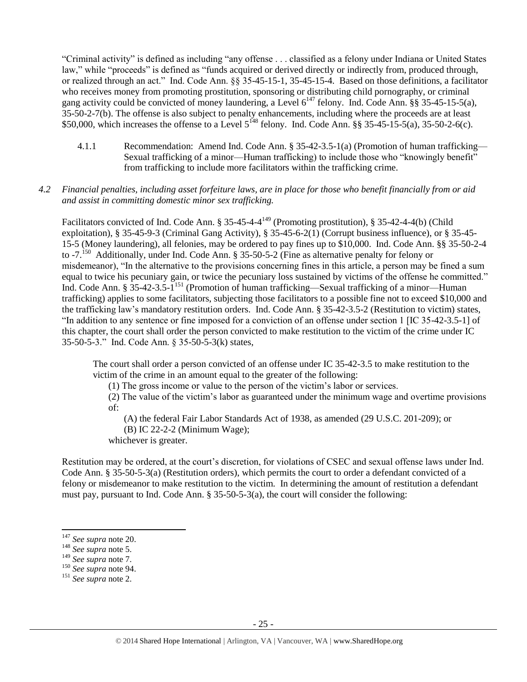"Criminal activity" is defined as including "any offense . . . classified as a felony under Indiana or United States law," while "proceeds" is defined as "funds acquired or derived directly or indirectly from, produced through, or realized through an act." Ind. Code Ann. §§ 35-45-15-1, 35-45-15-4. Based on those definitions, a facilitator who receives money from promoting prostitution, sponsoring or distributing child pornography, or criminal gang activity could be convicted of money laundering, a Level  $6^{147}$  felony. Ind. Code Ann. §§ 35-45-15-5(a), 35-50-2-7(b). The offense is also subject to penalty enhancements, including where the proceeds are at least \$50,000, which increases the offense to a Level  $5^{148}$  felony. Ind. Code Ann. §§ 35-45-15-5(a), 35-50-2-6(c).

4.1.1 Recommendation: Amend Ind. Code Ann. § 35-42-3.5-1(a) (Promotion of human trafficking— Sexual trafficking of a minor—Human trafficking) to include those who "knowingly benefit" from trafficking to include more facilitators within the trafficking crime.

## *4.2 Financial penalties, including asset forfeiture laws, are in place for those who benefit financially from or aid and assist in committing domestic minor sex trafficking.*

Facilitators convicted of Ind. Code Ann. § 35-45-4-4<sup>149</sup> (Promoting prostitution), § 35-42-4-4(b) (Child exploitation), § 35-45-9-3 (Criminal Gang Activity), § 35-45-6-2(1) (Corrupt business influence), or § 35-45- 15-5 (Money laundering), all felonies, may be ordered to pay fines up to \$10,000. Ind. Code Ann. §§ 35-50-2-4 to -7.<sup>150</sup> Additionally, under Ind. Code Ann. § 35-50-5-2 (Fine as alternative penalty for felony or misdemeanor), "In the alternative to the provisions concerning fines in this article, a person may be fined a sum equal to twice his pecuniary gain, or twice the pecuniary loss sustained by victims of the offense he committed." Ind. Code Ann. § 35-42-3.5-1<sup>151</sup> (Promotion of human trafficking—Sexual trafficking of a minor—Human trafficking) applies to some facilitators, subjecting those facilitators to a possible fine not to exceed \$10,000 and the trafficking law's mandatory restitution orders. Ind. Code Ann. § 35-42-3.5-2 (Restitution to victim) states, "In addition to any sentence or fine imposed for a conviction of an offense under section 1 [IC 35-42-3.5-1] of this chapter, the court shall order the person convicted to make restitution to the victim of the crime under IC 35-50-5-3." Ind. Code Ann. § 35-50-5-3(k) states,

The court shall order a person convicted of an offense under IC 35-42-3.5 to make restitution to the victim of the crime in an amount equal to the greater of the following:

(1) The gross income or value to the person of the victim's labor or services.

(2) The value of the victim's labor as guaranteed under the minimum wage and overtime provisions of:

(A) the federal Fair Labor Standards Act of 1938, as amended (29 U.S.C. 201-209); or

(B) IC 22-2-2 (Minimum Wage);

whichever is greater.

Restitution may be ordered, at the court's discretion, for violations of CSEC and sexual offense laws under Ind. Code Ann. § 35-50-5-3(a) (Restitution orders), which permits the court to order a defendant convicted of a felony or misdemeanor to make restitution to the victim. In determining the amount of restitution a defendant must pay, pursuant to Ind. Code Ann. § 35-50-5-3(a), the court will consider the following:

<sup>147</sup> *See supra* note [20.](#page-4-0)

<sup>148</sup> *See supra* not[e 5.](#page-1-0)

<sup>149</sup> *See supra* not[e 7.](#page-2-2)

<sup>150</sup> *See supra* note [94.](#page-13-0)

<sup>151</sup> *See supra* not[e 2.](#page-0-0)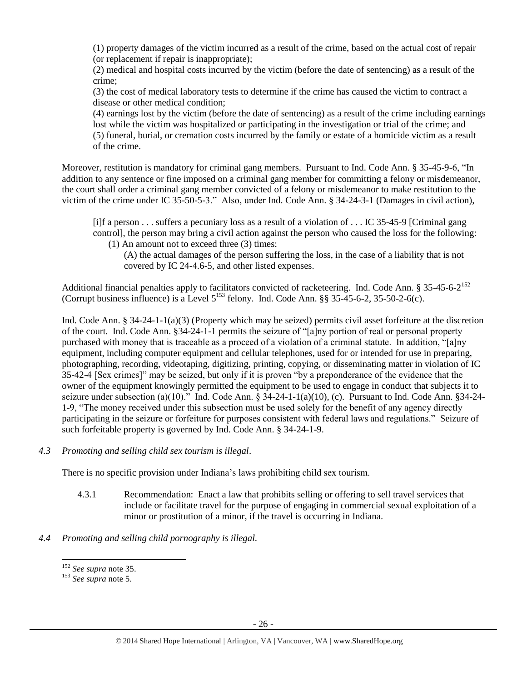(1) property damages of the victim incurred as a result of the crime, based on the actual cost of repair (or replacement if repair is inappropriate);

(2) medical and hospital costs incurred by the victim (before the date of sentencing) as a result of the crime;

(3) the cost of medical laboratory tests to determine if the crime has caused the victim to contract a disease or other medical condition;

(4) earnings lost by the victim (before the date of sentencing) as a result of the crime including earnings lost while the victim was hospitalized or participating in the investigation or trial of the crime; and (5) funeral, burial, or cremation costs incurred by the family or estate of a homicide victim as a result of the crime.

Moreover, restitution is mandatory for criminal gang members. Pursuant to Ind. Code Ann. § 35-45-9-6, "In addition to any sentence or fine imposed on a criminal gang member for committing a felony or misdemeanor, the court shall order a criminal gang member convicted of a felony or misdemeanor to make restitution to the victim of the crime under IC 35-50-5-3." Also, under Ind. Code Ann. § 34-24-3-1 (Damages in civil action),

[i]f a person . . . suffers a pecuniary loss as a result of a violation of . . . IC 35-45-9 [Criminal gang control], the person may bring a civil action against the person who caused the loss for the following: (1) An amount not to exceed three (3) times:

(A) the actual damages of the person suffering the loss, in the case of a liability that is not covered by IC 24-4.6-5, and other listed expenses.

Additional financial penalties apply to facilitators convicted of racketeering. Ind. Code Ann. § 35-45-6-2<sup>152</sup> (Corrupt business influence) is a Level  $5^{153}$  felony. Ind. Code Ann. §§ 35-45-6-2, 35-50-2-6(c).

Ind. Code Ann. § 34-24-1-1(a)(3) (Property which may be seized) permits civil asset forfeiture at the discretion of the court. Ind. Code Ann. §34-24-1-1 permits the seizure of "[a]ny portion of real or personal property purchased with money that is traceable as a proceed of a violation of a criminal statute. In addition, "[a]ny equipment, including computer equipment and cellular telephones, used for or intended for use in preparing, photographing, recording, videotaping, digitizing, printing, copying, or disseminating matter in violation of IC 35-42-4 [Sex crimes]" may be seized, but only if it is proven "by a preponderance of the evidence that the owner of the equipment knowingly permitted the equipment to be used to engage in conduct that subjects it to seizure under subsection (a)(10)." Ind. Code Ann. § 34-24-1-1(a)(10), (c). Pursuant to Ind. Code Ann. §34-24- 1-9, "The money received under this subsection must be used solely for the benefit of any agency directly participating in the seizure or forfeiture for purposes consistent with federal laws and regulations." Seizure of such forfeitable property is governed by Ind. Code Ann. § 34-24-1-9.

*4.3 Promoting and selling child sex tourism is illegal*.

There is no specific provision under Indiana's laws prohibiting child sex tourism.

- 4.3.1 Recommendation: Enact a law that prohibits selling or offering to sell travel services that include or facilitate travel for the purpose of engaging in commercial sexual exploitation of a minor or prostitution of a minor, if the travel is occurring in Indiana.
- *4.4 Promoting and selling child pornography is illegal.*

<sup>152</sup> *See supra* not[e 35.](#page-6-0)

<sup>153</sup> *See supra* not[e 5.](#page-1-0)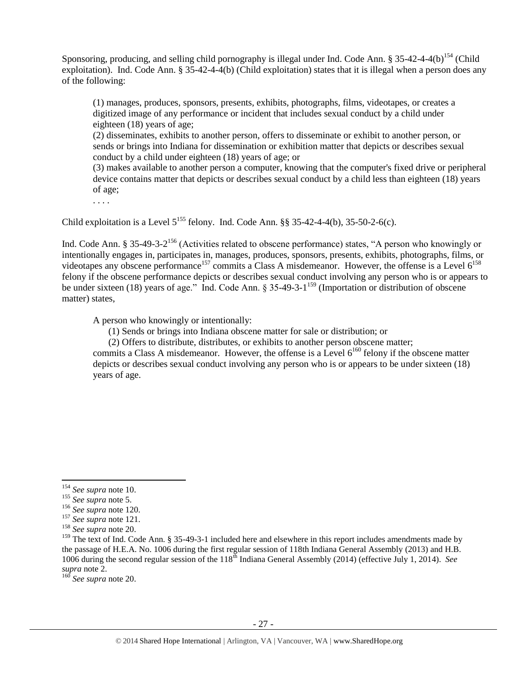Sponsoring, producing, and selling child pornography is illegal under Ind. Code Ann. § 35-42-4-4(b)<sup>154</sup> (Child exploitation). Ind. Code Ann. § 35-42-4-4(b) (Child exploitation) states that it is illegal when a person does any of the following:

(1) manages, produces, sponsors, presents, exhibits, photographs, films, videotapes, or creates a digitized image of any performance or incident that includes sexual conduct by a child under eighteen (18) years of age;

(2) disseminates, exhibits to another person, offers to disseminate or exhibit to another person, or sends or brings into Indiana for dissemination or exhibition matter that depicts or describes sexual conduct by a child under eighteen (18) years of age; or

(3) makes available to another person a computer, knowing that the computer's fixed drive or peripheral device contains matter that depicts or describes sexual conduct by a child less than eighteen (18) years of age;

. . . .

Child exploitation is a Level  $5^{155}$  felony. Ind. Code Ann. §§ 35-42-4-4(b), 35-50-2-6(c).

Ind. Code Ann. § 35-49-3-2<sup>156</sup> (Activities related to obscene performance) states, "A person who knowingly or intentionally engages in, participates in, manages, produces, sponsors, presents, exhibits, photographs, films, or videotapes any obscene performance<sup>157</sup> commits a Class A misdemeanor. However, the offense is a Level  $6^{158}$ felony if the obscene performance depicts or describes sexual conduct involving any person who is or appears to be under sixteen (18) years of age." Ind. Code Ann. § 35-49-3-1<sup>159</sup> (Importation or distribution of obscene matter) states,

A person who knowingly or intentionally:

(1) Sends or brings into Indiana obscene matter for sale or distribution; or

(2) Offers to distribute, distributes, or exhibits to another person obscene matter;

commits a Class A misdemeanor. However, the offense is a Level  $6^{160}$  felony if the obscene matter depicts or describes sexual conduct involving any person who is or appears to be under sixteen (18) years of age.

<sup>154</sup> *See supra* not[e 10.](#page-2-1)

<sup>155</sup> *See supra* not[e 5.](#page-1-0)

<sup>156</sup> *See supra* not[e 120.](#page-18-0)

<sup>157</sup> *See supra* not[e 121.](#page-18-1)

<sup>158</sup> *See supra* not[e 20.](#page-4-0)

<sup>&</sup>lt;sup>159</sup> The text of Ind. Code Ann. § 35-49-3-1 included here and elsewhere in this report includes amendments made by the passage of H.E.A. No. 1006 during the first regular session of 118th Indiana General Assembly (2013) and H.B. 1006 during the second regular session of the 118<sup>th</sup> Indiana General Assembly (2014) (effective July 1, 2014). *See supra* note [2.](#page-0-0)

<sup>160</sup> *See supra* not[e 20.](#page-4-0)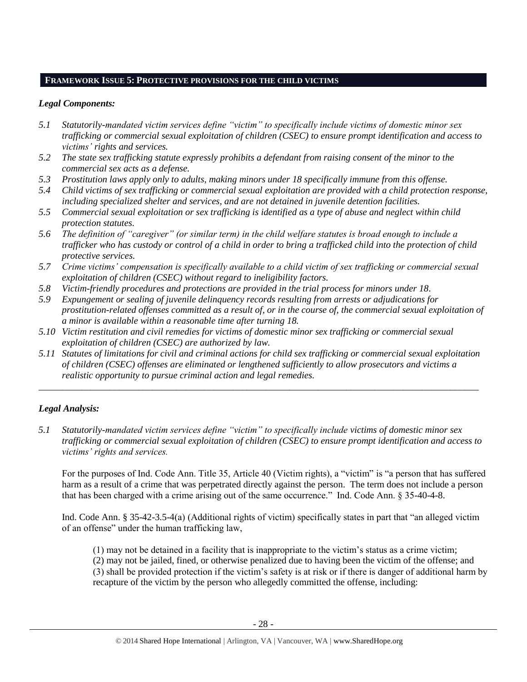# **FRAMEWORK ISSUE 5: PROTECTIVE PROVISIONS FOR THE CHILD VICTIMS**

# *Legal Components:*

- *5.1 Statutorily-mandated victim services define "victim" to specifically include victims of domestic minor sex trafficking or commercial sexual exploitation of children (CSEC) to ensure prompt identification and access to victims' rights and services.*
- *5.2 The state sex trafficking statute expressly prohibits a defendant from raising consent of the minor to the commercial sex acts as a defense.*
- *5.3 Prostitution laws apply only to adults, making minors under 18 specifically immune from this offense.*
- *5.4 Child victims of sex trafficking or commercial sexual exploitation are provided with a child protection response, including specialized shelter and services, and are not detained in juvenile detention facilities.*
- *5.5 Commercial sexual exploitation or sex trafficking is identified as a type of abuse and neglect within child protection statutes.*
- *5.6 The definition of "caregiver" (or similar term) in the child welfare statutes is broad enough to include a trafficker who has custody or control of a child in order to bring a trafficked child into the protection of child protective services.*
- *5.7 Crime victims' compensation is specifically available to a child victim of sex trafficking or commercial sexual exploitation of children (CSEC) without regard to ineligibility factors.*
- *5.8 Victim-friendly procedures and protections are provided in the trial process for minors under 18.*
- *5.9 Expungement or sealing of juvenile delinquency records resulting from arrests or adjudications for prostitution-related offenses committed as a result of, or in the course of, the commercial sexual exploitation of a minor is available within a reasonable time after turning 18.*
- *5.10 Victim restitution and civil remedies for victims of domestic minor sex trafficking or commercial sexual exploitation of children (CSEC) are authorized by law.*
- *5.11 Statutes of limitations for civil and criminal actions for child sex trafficking or commercial sexual exploitation of children (CSEC) offenses are eliminated or lengthened sufficiently to allow prosecutors and victims a realistic opportunity to pursue criminal action and legal remedies.*

*\_\_\_\_\_\_\_\_\_\_\_\_\_\_\_\_\_\_\_\_\_\_\_\_\_\_\_\_\_\_\_\_\_\_\_\_\_\_\_\_\_\_\_\_\_\_\_\_\_\_\_\_\_\_\_\_\_\_\_\_\_\_\_\_\_\_\_\_\_\_\_\_\_\_\_\_\_\_\_\_\_\_\_\_\_\_\_\_\_\_\_\_\_*

# *Legal Analysis:*

*5.1 Statutorily-mandated victim services define "victim" to specifically include victims of domestic minor sex trafficking or commercial sexual exploitation of children (CSEC) to ensure prompt identification and access to victims' rights and services.*

For the purposes of Ind. Code Ann. Title 35, Article 40 (Victim rights), a "victim" is "a person that has suffered harm as a result of a crime that was perpetrated directly against the person. The term does not include a person that has been charged with a crime arising out of the same occurrence." Ind. Code Ann. § 35-40-4-8.

Ind. Code Ann. § 35-42-3.5-4(a) (Additional rights of victim) specifically states in part that "an alleged victim of an offense" under the human trafficking law,

(1) may not be detained in a facility that is inappropriate to the victim's status as a crime victim; (2) may not be jailed, fined, or otherwise penalized due to having been the victim of the offense; and

(3) shall be provided protection if the victim's safety is at risk or if there is danger of additional harm by recapture of the victim by the person who allegedly committed the offense, including: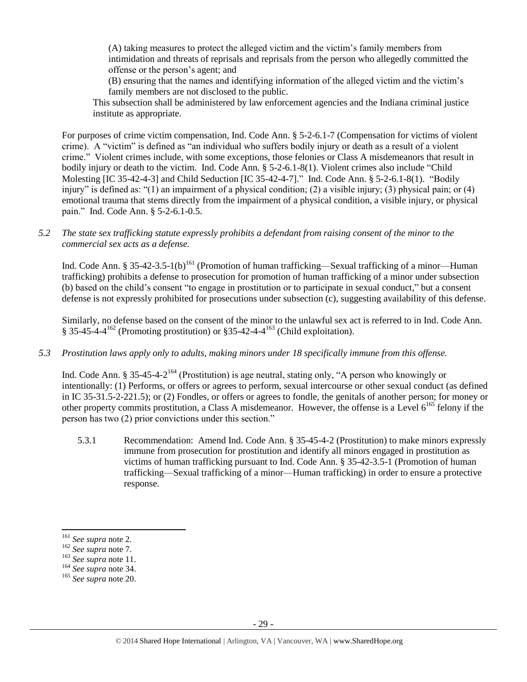(A) taking measures to protect the alleged victim and the victim's family members from intimidation and threats of reprisals and reprisals from the person who allegedly committed the offense or the person's agent; and

(B) ensuring that the names and identifying information of the alleged victim and the victim's family members are not disclosed to the public.

This subsection shall be administered by law enforcement agencies and the Indiana criminal justice institute as appropriate.

For purposes of crime victim compensation, Ind. Code Ann. § 5-2-6.1-7 (Compensation for victims of violent crime). A "victim" is defined as "an individual who suffers bodily injury or death as a result of a violent crime." Violent crimes include, with some exceptions, those felonies or Class A misdemeanors that result in bodily injury or death to the victim. Ind. Code Ann. § 5-2-6.1-8(1). Violent crimes also include "Child Molesting [IC 35-42-4-3] and Child Seduction [IC 35-42-4-7]." Ind. Code Ann. § 5-2-6.1-8(1). "Bodily injury" is defined as: "(1) an impairment of a physical condition; (2) a visible injury; (3) physical pain; or (4) emotional trauma that stems directly from the impairment of a physical condition, a visible injury, or physical pain." Ind. Code Ann. § 5-2-6.1-0.5.

*5.2 The state sex trafficking statute expressly prohibits a defendant from raising consent of the minor to the commercial sex acts as a defense.*

Ind. Code Ann. § 35-42-3.5-1(b)<sup>161</sup> (Promotion of human trafficking—Sexual trafficking of a minor—Human trafficking) prohibits a defense to prosecution for promotion of human trafficking of a minor under subsection (b) based on the child's consent "to engage in prostitution or to participate in sexual conduct," but a consent defense is not expressly prohibited for prosecutions under subsection (c), suggesting availability of this defense.

Similarly, no defense based on the consent of the minor to the unlawful sex act is referred to in Ind. Code Ann.  $\S 35-45-4-4^{162}$  (Promoting prostitution) or  $\S 35-42-4-4^{163}$  (Child exploitation).

*5.3 Prostitution laws apply only to adults, making minors under 18 specifically immune from this offense.*

Ind. Code Ann. § 35-45-4-2<sup>164</sup> (Prostitution) is age neutral, stating only, "A person who knowingly or intentionally: (1) Performs, or offers or agrees to perform, sexual intercourse or other sexual conduct (as defined in IC 35-31.5-2-221.5); or (2) Fondles, or offers or agrees to fondle, the genitals of another person; for money or other property commits prostitution, a Class A misdemeanor. However, the offense is a Level 6<sup>165</sup> felony if the person has two (2) prior convictions under this section."

5.3.1 Recommendation: Amend Ind. Code Ann. § 35-45-4-2 (Prostitution) to make minors expressly immune from prosecution for prostitution and identify all minors engaged in prostitution as victims of human trafficking pursuant to Ind. Code Ann. § 35-42-3.5-1 (Promotion of human trafficking—Sexual trafficking of a minor—Human trafficking) in order to ensure a protective response.

<sup>161</sup> *See supra* not[e 2.](#page-0-0)

<sup>162</sup> *See supra* not[e 7.](#page-2-2)

<sup>163</sup> *See supra* not[e 11.](#page-3-3)

<sup>164</sup> *See supra* not[e 34.](#page-6-1)

<sup>165</sup> *See supra* not[e 20.](#page-4-0)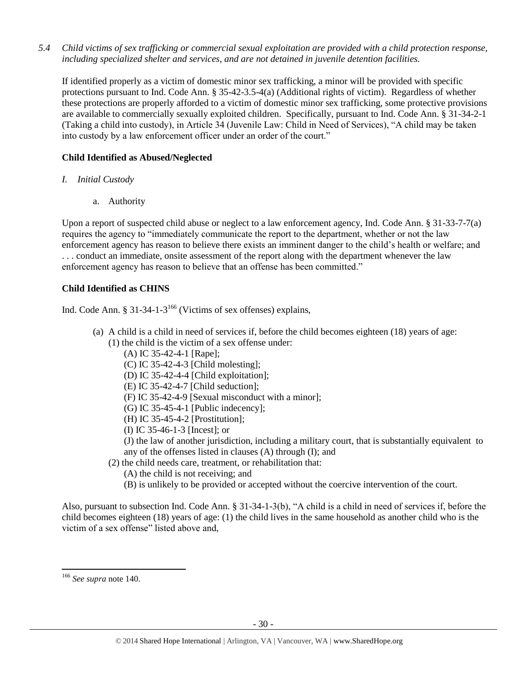*5.4 Child victims of sex trafficking or commercial sexual exploitation are provided with a child protection response, including specialized shelter and services, and are not detained in juvenile detention facilities.*

If identified properly as a victim of domestic minor sex trafficking, a minor will be provided with specific protections pursuant to Ind. Code Ann. § 35-42-3.5-4(a) (Additional rights of victim). Regardless of whether these protections are properly afforded to a victim of domestic minor sex trafficking, some protective provisions are available to commercially sexually exploited children. Specifically, pursuant to Ind. Code Ann. § 31-34-2-1 (Taking a child into custody), in Article 34 (Juvenile Law: Child in Need of Services), "A child may be taken into custody by a law enforcement officer under an order of the court."

# **Child Identified as Abused/Neglected**

- *I. Initial Custody*
	- a. Authority

Upon a report of suspected child abuse or neglect to a law enforcement agency, Ind. Code Ann. § 31-33-7-7(a) requires the agency to "immediately communicate the report to the department, whether or not the law enforcement agency has reason to believe there exists an imminent danger to the child's health or welfare; and . . . conduct an immediate, onsite assessment of the report along with the department whenever the law enforcement agency has reason to believe that an offense has been committed."

# **Child Identified as CHINS**

Ind. Code Ann. § 31-34-1-3<sup>166</sup> (Victims of sex offenses) explains,

- (a) A child is a child in need of services if, before the child becomes eighteen (18) years of age: (1) the child is the victim of a sex offense under:
	- (A) IC 35-42-4-1 [Rape];
	- (C) IC 35-42-4-3 [Child molesting];
	- (D) IC 35-42-4-4 [Child exploitation];
	- (E) IC 35-42-4-7 [Child seduction];
	- (F) IC 35-42-4-9 [Sexual misconduct with a minor];
	- (G) IC 35-45-4-1 [Public indecency];
	- (H) IC 35-45-4-2 [Prostitution];
	- (I) IC 35-46-1-3 [Incest]; or

(J) the law of another jurisdiction, including a military court, that is substantially equivalent to any of the offenses listed in clauses (A) through (I); and

- (2) the child needs care, treatment, or rehabilitation that:
	- (A) the child is not receiving; and
	- (B) is unlikely to be provided or accepted without the coercive intervention of the court.

Also, pursuant to subsection Ind. Code Ann. § 31-34-1-3(b), "A child is a child in need of services if, before the child becomes eighteen (18) years of age: (1) the child lives in the same household as another child who is the victim of a sex offense" listed above and,

<sup>166</sup> *See supra* not[e 140.](#page-22-0)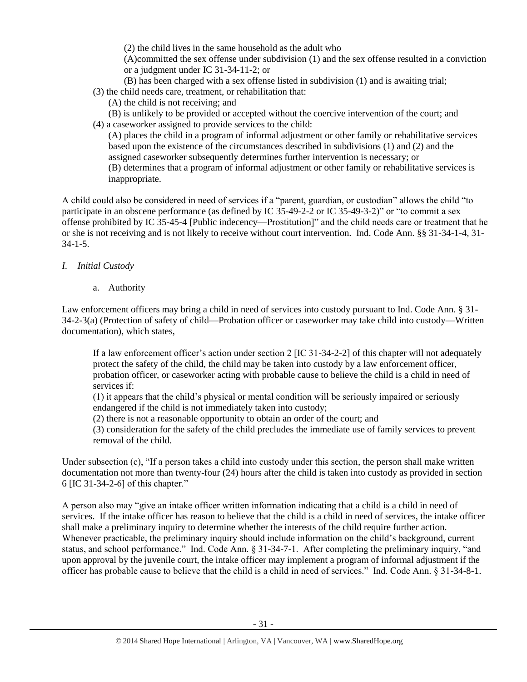(2) the child lives in the same household as the adult who

(A)committed the sex offense under subdivision (1) and the sex offense resulted in a conviction or a judgment under IC 31-34-11-2; or

(B) has been charged with a sex offense listed in subdivision (1) and is awaiting trial;

(3) the child needs care, treatment, or rehabilitation that:

- (A) the child is not receiving; and
- (B) is unlikely to be provided or accepted without the coercive intervention of the court; and
- (4) a caseworker assigned to provide services to the child:

(A) places the child in a program of informal adjustment or other family or rehabilitative services based upon the existence of the circumstances described in subdivisions (1) and (2) and the assigned caseworker subsequently determines further intervention is necessary; or (B) determines that a program of informal adjustment or other family or rehabilitative services is inappropriate.

A child could also be considered in need of services if a "parent, guardian, or custodian" allows the child "to participate in an obscene performance (as defined by IC 35-49-2-2 or IC 35-49-3-2)" or "to commit a sex offense prohibited by IC 35-45-4 [Public indecency—Prostitution]" and the child needs care or treatment that he or she is not receiving and is not likely to receive without court intervention. Ind. Code Ann. §§ 31-34-1-4, 31- 34-1-5.

# *I. Initial Custody*

a. Authority

Law enforcement officers may bring a child in need of services into custody pursuant to Ind. Code Ann. § 31- 34-2-3(a) (Protection of safety of child—Probation officer or caseworker may take child into custody—Written documentation), which states,

If a law enforcement officer's action under section 2 [IC 31-34-2-2] of this chapter will not adequately protect the safety of the child, the child may be taken into custody by a law enforcement officer, probation officer, or caseworker acting with probable cause to believe the child is a child in need of services if:

(1) it appears that the child's physical or mental condition will be seriously impaired or seriously endangered if the child is not immediately taken into custody;

(2) there is not a reasonable opportunity to obtain an order of the court; and

(3) consideration for the safety of the child precludes the immediate use of family services to prevent removal of the child.

Under subsection (c), "If a person takes a child into custody under this section, the person shall make written documentation not more than twenty-four (24) hours after the child is taken into custody as provided in section 6 [IC 31-34-2-6] of this chapter."

A person also may "give an intake officer written information indicating that a child is a child in need of services. If the intake officer has reason to believe that the child is a child in need of services, the intake officer shall make a preliminary inquiry to determine whether the interests of the child require further action. Whenever practicable, the preliminary inquiry should include information on the child's background, current status, and school performance." Ind. Code Ann. § 31-34-7-1. After completing the preliminary inquiry, "and upon approval by the juvenile court, the intake officer may implement a program of informal adjustment if the officer has probable cause to believe that the child is a child in need of services." Ind. Code Ann. § 31-34-8-1.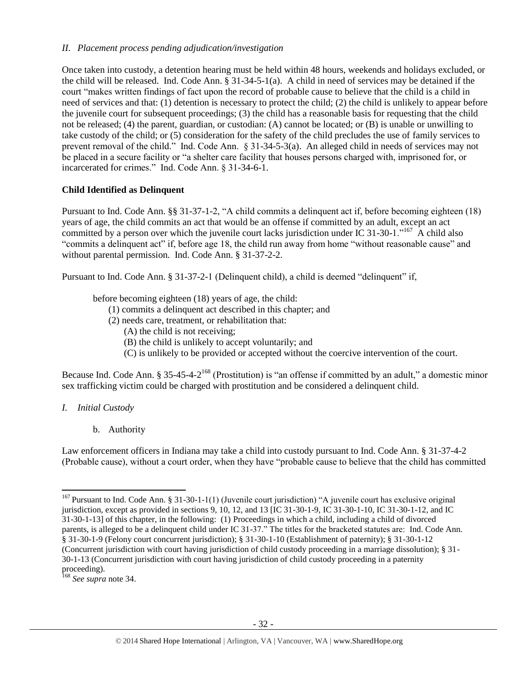# *II. Placement process pending adjudication/investigation*

Once taken into custody, a detention hearing must be held within 48 hours, weekends and holidays excluded, or the child will be released. Ind. Code Ann. § 31-34-5-1(a). A child in need of services may be detained if the court "makes written findings of fact upon the record of probable cause to believe that the child is a child in need of services and that: (1) detention is necessary to protect the child; (2) the child is unlikely to appear before the juvenile court for subsequent proceedings; (3) the child has a reasonable basis for requesting that the child not be released; (4) the parent, guardian, or custodian: (A) cannot be located; or (B) is unable or unwilling to take custody of the child; or (5) consideration for the safety of the child precludes the use of family services to prevent removal of the child." Ind. Code Ann. § 31-34-5-3(a). An alleged child in needs of services may not be placed in a secure facility or "a shelter care facility that houses persons charged with, imprisoned for, or incarcerated for crimes." Ind. Code Ann. § 31-34-6-1.

# **Child Identified as Delinquent**

Pursuant to Ind. Code Ann. §§ 31-37-1-2, "A child commits a delinquent act if, before becoming eighteen (18) years of age, the child commits an act that would be an offense if committed by an adult, except an act committed by a person over which the juvenile court lacks jurisdiction under IC 31-30-1."  $^{167}$  A child also "commits a delinquent act" if, before age 18, the child run away from home "without reasonable cause" and without parental permission. Ind. Code Ann. § 31-37-2-2.

Pursuant to Ind. Code Ann. § 31-37-2-1 (Delinquent child), a child is deemed "delinquent" if,

before becoming eighteen (18) years of age, the child:

- (1) commits a delinquent act described in this chapter; and
- (2) needs care, treatment, or rehabilitation that:
	- (A) the child is not receiving;
	- (B) the child is unlikely to accept voluntarily; and
	- (C) is unlikely to be provided or accepted without the coercive intervention of the court.

Because Ind. Code Ann. § 35-45-4-2<sup>168</sup> (Prostitution) is "an offense if committed by an adult," a domestic minor sex trafficking victim could be charged with prostitution and be considered a delinquent child.

- *I. Initial Custody*
	- b. Authority

Law enforcement officers in Indiana may take a child into custody pursuant to Ind. Code Ann. § 31-37-4-2 (Probable cause), without a court order, when they have "probable cause to believe that the child has committed

l  $167$  Pursuant to Ind. Code Ann. § 31-30-1-1(1) (Juvenile court jurisdiction) "A juvenile court has exclusive original jurisdiction, except as provided in sections 9, 10, 12, and 13 [IC 31-30-1-9, IC 31-30-1-10, IC 31-30-1-12, and IC 31-30-1-13] of this chapter, in the following: (1) Proceedings in which a child, including a child of divorced parents, is alleged to be a delinquent child under IC 31-37." The titles for the bracketed statutes are: Ind. Code Ann. § 31-30-1-9 (Felony court concurrent jurisdiction); § 31-30-1-10 (Establishment of paternity); § 31-30-1-12 (Concurrent jurisdiction with court having jurisdiction of child custody proceeding in a marriage dissolution); § 31- 30-1-13 (Concurrent jurisdiction with court having jurisdiction of child custody proceeding in a paternity proceeding).

<sup>168</sup> *See supra* not[e 34.](#page-6-1)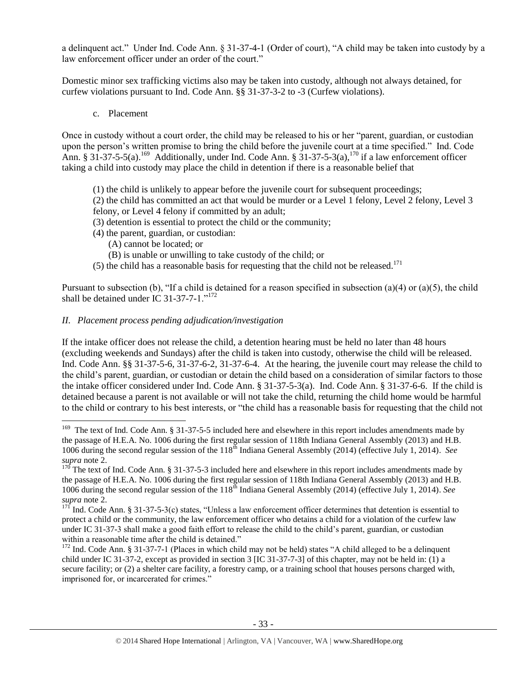a delinquent act." Under Ind. Code Ann. § 31-37-4-1 (Order of court), "A child may be taken into custody by a law enforcement officer under an order of the court."

Domestic minor sex trafficking victims also may be taken into custody, although not always detained, for curfew violations pursuant to Ind. Code Ann. §§ 31-37-3-2 to -3 (Curfew violations).

c. Placement

 $\overline{\phantom{a}}$ 

Once in custody without a court order, the child may be released to his or her "parent, guardian, or custodian upon the person's written promise to bring the child before the juvenile court at a time specified." Ind. Code Ann. § 31-37-5-5(a).<sup>169</sup> Additionally, under Ind. Code Ann. § 31-37-5-3(a),<sup>170</sup> if a law enforcement officer taking a child into custody may place the child in detention if there is a reasonable belief that

- (1) the child is unlikely to appear before the juvenile court for subsequent proceedings;
- (2) the child has committed an act that would be murder or a Level 1 felony, Level 2 felony, Level 3
- felony, or Level 4 felony if committed by an adult;
- (3) detention is essential to protect the child or the community;
- (4) the parent, guardian, or custodian:
	- (A) cannot be located; or
	- (B) is unable or unwilling to take custody of the child; or
- (5) the child has a reasonable basis for requesting that the child not be released.<sup>171</sup>

Pursuant to subsection (b), "If a child is detained for a reason specified in subsection (a)(4) or (a)(5), the child shall be detained under IC 31-37-7-1." $1^{172}$ 

# *II. Placement process pending adjudication/investigation*

If the intake officer does not release the child, a detention hearing must be held no later than 48 hours (excluding weekends and Sundays) after the child is taken into custody, otherwise the child will be released. Ind. Code Ann. §§ 31-37-5-6, 31-37-6-2, 31-37-6-4. At the hearing, the juvenile court may release the child to the child's parent, guardian, or custodian or detain the child based on a consideration of similar factors to those the intake officer considered under Ind. Code Ann. § 31-37-5-3(a). Ind. Code Ann. § 31-37-6-6. If the child is detained because a parent is not available or will not take the child, returning the child home would be harmful to the child or contrary to his best interests, or "the child has a reasonable basis for requesting that the child not

<sup>&</sup>lt;sup>169</sup> The text of Ind. Code Ann. § 31-37-5-5 included here and elsewhere in this report includes amendments made by the passage of H.E.A. No. 1006 during the first regular session of 118th Indiana General Assembly (2013) and H.B. 1006 during the second regular session of the 118<sup>th</sup> Indiana General Assembly (2014) (effective July 1, 2014). *See supra* note [2.](#page-0-0)

 $170$  The text of Ind. Code Ann. § 31-37-5-3 included here and elsewhere in this report includes amendments made by the passage of H.E.A. No. 1006 during the first regular session of 118th Indiana General Assembly (2013) and H.B. 1006 during the second regular session of the 118th Indiana General Assembly (2014) (effective July 1, 2014). *See supra* note [2.](#page-0-0)

<sup>171</sup> Ind. Code Ann. § 31-37-5-3(c) states, "Unless a law enforcement officer determines that detention is essential to protect a child or the community, the law enforcement officer who detains a child for a violation of the curfew law under IC 31-37-3 shall make a good faith effort to release the child to the child's parent, guardian, or custodian within a reasonable time after the child is detained."

 $172$  Ind. Code Ann. § 31-37-7-1 (Places in which child may not be held) states "A child alleged to be a delinquent child under IC 31-37-2, except as provided in section 3 [IC 31-37-7-3] of this chapter, may not be held in: (1) a secure facility; or (2) a shelter care facility, a forestry camp, or a training school that houses persons charged with, imprisoned for, or incarcerated for crimes."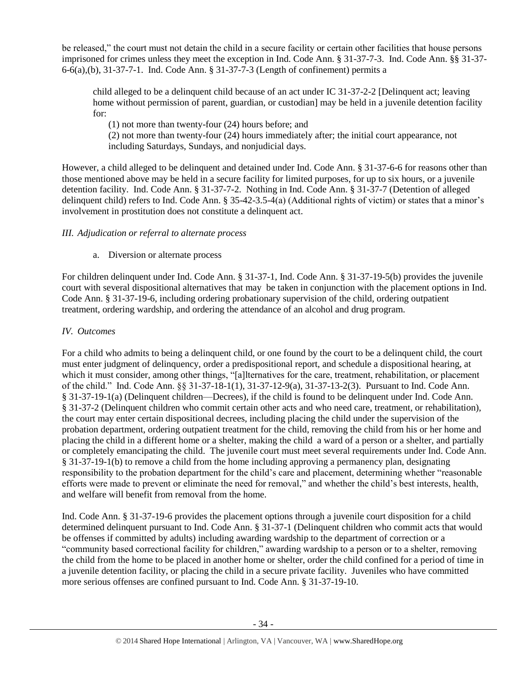be released," the court must not detain the child in a secure facility or certain other facilities that house persons imprisoned for crimes unless they meet the exception in Ind. Code Ann. § 31-37-7-3. Ind. Code Ann. §§ 31-37- 6-6(a),(b), 31-37-7-1. Ind. Code Ann. § 31-37-7-3 (Length of confinement) permits a

child alleged to be a delinquent child because of an act under IC 31-37-2-2 [Delinquent act; leaving home without permission of parent, guardian, or custodian] may be held in a juvenile detention facility for:

(1) not more than twenty-four (24) hours before; and

(2) not more than twenty-four (24) hours immediately after; the initial court appearance, not including Saturdays, Sundays, and nonjudicial days.

However, a child alleged to be delinquent and detained under Ind. Code Ann. § 31-37-6-6 for reasons other than those mentioned above may be held in a secure facility for limited purposes, for up to six hours, or a juvenile detention facility. Ind. Code Ann. § 31-37-7-2. Nothing in Ind. Code Ann. § 31-37-7 (Detention of alleged delinquent child) refers to Ind. Code Ann. § 35-42-3.5-4(a) (Additional rights of victim) or states that a minor's involvement in prostitution does not constitute a delinquent act.

# *III. Adjudication or referral to alternate process*

a. Diversion or alternate process

For children delinquent under Ind. Code Ann. § 31-37-1, Ind. Code Ann. § 31-37-19-5(b) provides the juvenile court with several dispositional alternatives that may be taken in conjunction with the placement options in Ind. Code Ann. § 31-37-19-6, including ordering probationary supervision of the child, ordering outpatient treatment, ordering wardship, and ordering the attendance of an alcohol and drug program.

# *IV. Outcomes*

For a child who admits to being a delinquent child, or one found by the court to be a delinquent child, the court must enter judgment of delinquency, order a predispositional report, and schedule a dispositional hearing, at which it must consider, among other things, "[a]lternatives for the care, treatment, rehabilitation, or placement of the child." Ind. Code Ann. §§ 31-37-18-1(1), 31-37-12-9(a), 31-37-13-2(3). Pursuant to Ind. Code Ann. § 31-37-19-1(a) (Delinquent children—Decrees), if the child is found to be delinquent under Ind. Code Ann. § 31-37-2 (Delinquent children who commit certain other acts and who need care, treatment, or rehabilitation), the court may enter certain dispositional decrees, including placing the child under the supervision of the probation department, ordering outpatient treatment for the child, removing the child from his or her home and placing the child in a different home or a shelter, making the child a ward of a person or a shelter, and partially or completely emancipating the child. The juvenile court must meet several requirements under Ind. Code Ann. § 31-37-19-1(b) to remove a child from the home including approving a permanency plan, designating responsibility to the probation department for the child's care and placement, determining whether "reasonable efforts were made to prevent or eliminate the need for removal," and whether the child's best interests, health, and welfare will benefit from removal from the home.

Ind. Code Ann. § 31-37-19-6 provides the placement options through a juvenile court disposition for a child determined delinquent pursuant to Ind. Code Ann. § 31-37-1 (Delinquent children who commit acts that would be offenses if committed by adults) including awarding wardship to the department of correction or a "community based correctional facility for children," awarding wardship to a person or to a shelter, removing the child from the home to be placed in another home or shelter, order the child confined for a period of time in a juvenile detention facility, or placing the child in a secure private facility. Juveniles who have committed more serious offenses are confined pursuant to Ind. Code Ann. § 31-37-19-10.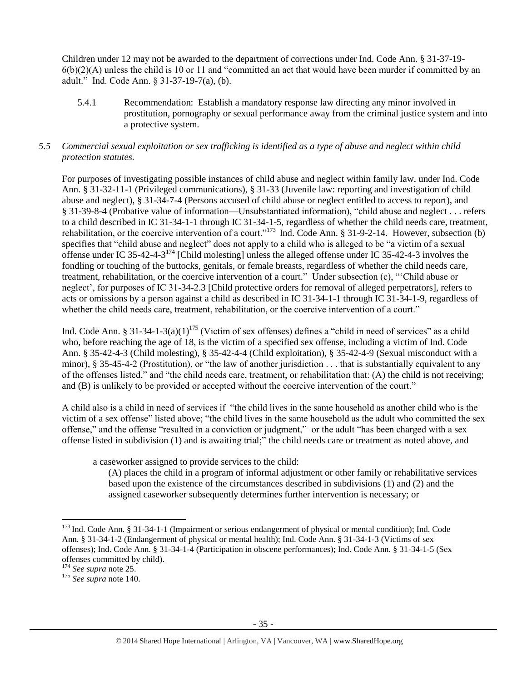Children under 12 may not be awarded to the department of corrections under Ind. Code Ann. § 31-37-19-  $6(b)(2)(A)$  unless the child is 10 or 11 and "committed an act that would have been murder if committed by an adult." Ind. Code Ann. § 31-37-19-7(a), (b).

5.4.1 Recommendation: Establish a mandatory response law directing any minor involved in prostitution, pornography or sexual performance away from the criminal justice system and into a protective system.

# *5.5 Commercial sexual exploitation or sex trafficking is identified as a type of abuse and neglect within child protection statutes.*

For purposes of investigating possible instances of child abuse and neglect within family law, under Ind. Code Ann. § 31-32-11-1 (Privileged communications), § 31-33 (Juvenile law: reporting and investigation of child abuse and neglect), § 31-34-7-4 (Persons accused of child abuse or neglect entitled to access to report), and § 31-39-8-4 (Probative value of information—Unsubstantiated information), "child abuse and neglect . . . refers to a child described in IC 31-34-1-1 through IC 31-34-1-5, regardless of whether the child needs care, treatment, rehabilitation, or the coercive intervention of a court."<sup>173</sup> Ind. Code Ann. § 31-9-2-14. However, subsection (b) specifies that "child abuse and neglect" does not apply to a child who is alleged to be "a victim of a sexual offense under IC 35-42-4-3 $^{174}$  [Child molesting] unless the alleged offense under IC 35-42-4-3 involves the fondling or touching of the buttocks, genitals, or female breasts, regardless of whether the child needs care, treatment, rehabilitation, or the coercive intervention of a court." Under subsection (c), "'Child abuse or neglect', for purposes of IC 31-34-2.3 [Child protective orders for removal of alleged perpetrators], refers to acts or omissions by a person against a child as described in IC 31-34-1-1 through IC 31-34-1-9, regardless of whether the child needs care, treatment, rehabilitation, or the coercive intervention of a court."

Ind. Code Ann. § 31-34-1-3(a)(1)<sup>175</sup> (Victim of sex offenses) defines a "child in need of services" as a child who, before reaching the age of 18, is the victim of a specified sex offense, including a victim of Ind. Code Ann. § 35-42-4-3 (Child molesting), § 35-42-4-4 (Child exploitation), § 35-42-4-9 (Sexual misconduct with a minor), § 35-45-4-2 (Prostitution), or "the law of another jurisdiction . . . that is substantially equivalent to any of the offenses listed," and "the child needs care, treatment, or rehabilitation that: (A) the child is not receiving; and (B) is unlikely to be provided or accepted without the coercive intervention of the court."

A child also is a child in need of services if "the child lives in the same household as another child who is the victim of a sex offense" listed above; "the child lives in the same household as the adult who committed the sex offense," and the offense "resulted in a conviction or judgment," or the adult "has been charged with a sex offense listed in subdivision (1) and is awaiting trial;" the child needs care or treatment as noted above, and

a caseworker assigned to provide services to the child:

(A) places the child in a program of informal adjustment or other family or rehabilitative services based upon the existence of the circumstances described in subdivisions (1) and (2) and the assigned caseworker subsequently determines further intervention is necessary; or

 $\overline{a}$ <sup>173</sup> Ind. Code Ann. § 31-34-1-1 (Impairment or serious endangerment of physical or mental condition); Ind. Code Ann. § 31-34-1-2 (Endangerment of physical or mental health); Ind. Code Ann. § 31-34-1-3 (Victims of sex offenses); Ind. Code Ann. § 31-34-1-4 (Participation in obscene performances); Ind. Code Ann. § 31-34-1-5 (Sex offenses committed by child).

<sup>174</sup> *See supra* not[e 25.](#page-5-0)

<sup>175</sup> *See supra* not[e 140.](#page-22-0)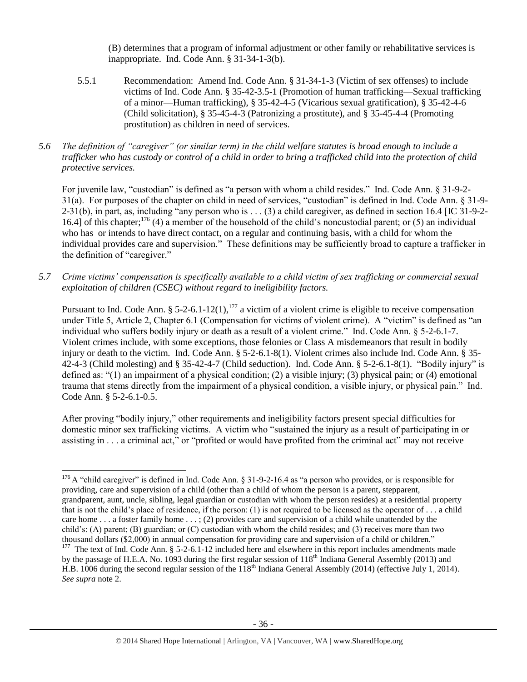(B) determines that a program of informal adjustment or other family or rehabilitative services is inappropriate. Ind. Code Ann. § 31-34-1-3(b).

- 5.5.1 Recommendation: Amend Ind. Code Ann. § 31-34-1-3 (Victim of sex offenses) to include victims of Ind. Code Ann. § 35-42-3.5-1 (Promotion of human trafficking—Sexual trafficking of a minor—Human trafficking), § 35-42-4-5 (Vicarious sexual gratification), § 35-42-4-6 (Child solicitation), § 35-45-4-3 (Patronizing a prostitute), and § 35-45-4-4 (Promoting prostitution) as children in need of services.
- *5.6 The definition of "caregiver" (or similar term) in the child welfare statutes is broad enough to include a trafficker who has custody or control of a child in order to bring a trafficked child into the protection of child protective services.*

For juvenile law, "custodian" is defined as "a person with whom a child resides." Ind. Code Ann. § 31-9-2- 31(a). For purposes of the chapter on child in need of services, "custodian" is defined in Ind. Code Ann. § 31-9-  $2-31(b)$ , in part, as, including "any person who is . . . (3) a child caregiver, as defined in section 16.4 [IC 31-9-2-16.4] of this chapter;<sup>176</sup> (4) a member of the household of the child's noncustodial parent; or (5) an individual who has or intends to have direct contact, on a regular and continuing basis, with a child for whom the individual provides care and supervision." These definitions may be sufficiently broad to capture a trafficker in the definition of "caregiver."

*5.7 Crime victims' compensation is specifically available to a child victim of sex trafficking or commercial sexual exploitation of children (CSEC) without regard to ineligibility factors.*

Pursuant to Ind. Code Ann. § 5-2-6.1-12(1),<sup>177</sup> a victim of a violent crime is eligible to receive compensation under Title 5, Article 2, Chapter 6.1 (Compensation for victims of violent crime). A "victim" is defined as "an individual who suffers bodily injury or death as a result of a violent crime." Ind. Code Ann. § 5-2-6.1-7. Violent crimes include, with some exceptions, those felonies or Class A misdemeanors that result in bodily injury or death to the victim. Ind. Code Ann. § 5-2-6.1-8(1). Violent crimes also include Ind. Code Ann. § 35- 42-4-3 (Child molesting) and § 35-42-4-7 (Child seduction). Ind. Code Ann. § 5-2-6.1-8(1). "Bodily injury" is defined as: "(1) an impairment of a physical condition; (2) a visible injury; (3) physical pain; or (4) emotional trauma that stems directly from the impairment of a physical condition, a visible injury, or physical pain." Ind. Code Ann. § 5-2-6.1-0.5.

After proving "bodily injury," other requirements and ineligibility factors present special difficulties for domestic minor sex trafficking victims. A victim who "sustained the injury as a result of participating in or assisting in . . . a criminal act," or "profited or would have profited from the criminal act" may not receive

<sup>&</sup>lt;sup>176</sup> A "child caregiver" is defined in Ind. Code Ann. § 31-9-2-16.4 as "a person who provides, or is responsible for providing, care and supervision of a child (other than a child of whom the person is a parent, stepparent, grandparent, aunt, uncle, sibling, legal guardian or custodian with whom the person resides) at a residential property that is not the child's place of residence, if the person: (1) is not required to be licensed as the operator of  $\dots$  a child care home . . . a foster family home . . . ; (2) provides care and supervision of a child while unattended by the child's: (A) parent; (B) guardian; or (C) custodian with whom the child resides; and (3) receives more than two thousand dollars (\$2,000) in annual compensation for providing care and supervision of a child or children." <sup>177</sup> The text of Ind. Code Ann. § 5-2-6.1-12 included here and elsewhere in this report includes amendments made by the passage of H.E.A. No. 1093 during the first regular session of 118<sup>th</sup> Indiana General Assembly (2013) and H.B. 1006 during the second regular session of the 118<sup>th</sup> Indiana General Assembly (2014) (effective July 1, 2014). *See supra* note [2.](#page-0-0)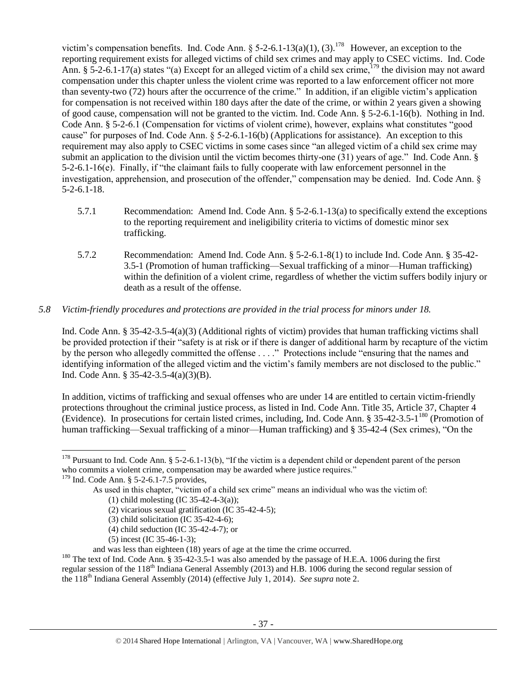victim's compensation benefits. Ind. Code Ann. § 5-2-6.1-13(a)(1), (3).<sup>178</sup> However, an exception to the reporting requirement exists for alleged victims of child sex crimes and may apply to CSEC victims. Ind. Code Ann. § 5-2-6.1-17(a) states "(a) Except for an alleged victim of a child sex crime,  $^{179}$  the division may not award compensation under this chapter unless the violent crime was reported to a law enforcement officer not more than seventy-two (72) hours after the occurrence of the crime." In addition, if an eligible victim's application for compensation is not received within 180 days after the date of the crime, or within 2 years given a showing of good cause, compensation will not be granted to the victim. Ind. Code Ann. § 5-2-6.1-16(b). Nothing in Ind. Code Ann. § 5-2-6.1 (Compensation for victims of violent crime), however, explains what constitutes "good cause" for purposes of Ind. Code Ann. § 5-2-6.1-16(b) (Applications for assistance). An exception to this requirement may also apply to CSEC victims in some cases since "an alleged victim of a child sex crime may submit an application to the division until the victim becomes thirty-one (31) years of age." Ind. Code Ann. § 5-2-6.1-16(e). Finally, if "the claimant fails to fully cooperate with law enforcement personnel in the investigation, apprehension, and prosecution of the offender," compensation may be denied. Ind. Code Ann. § 5-2-6.1-18.

- 5.7.1 Recommendation: Amend Ind. Code Ann. § 5-2-6.1-13(a) to specifically extend the exceptions to the reporting requirement and ineligibility criteria to victims of domestic minor sex trafficking.
- 5.7.2 Recommendation: Amend Ind. Code Ann. § 5-2-6.1-8(1) to include Ind. Code Ann. § 35-42- 3.5-1 (Promotion of human trafficking—Sexual trafficking of a minor—Human trafficking) within the definition of a violent crime, regardless of whether the victim suffers bodily injury or death as a result of the offense.

# *5.8 Victim-friendly procedures and protections are provided in the trial process for minors under 18.*

Ind. Code Ann. § 35-42-3.5-4(a)(3) (Additional rights of victim) provides that human trafficking victims shall be provided protection if their "safety is at risk or if there is danger of additional harm by recapture of the victim by the person who allegedly committed the offense . . . ." Protections include "ensuring that the names and identifying information of the alleged victim and the victim's family members are not disclosed to the public." Ind. Code Ann. § 35-42-3.5-4(a)(3)(B).

In addition, victims of trafficking and sexual offenses who are under 14 are entitled to certain victim-friendly protections throughout the criminal justice process, as listed in Ind. Code Ann. Title 35, Article 37, Chapter 4 (Evidence). In prosecutions for certain listed crimes, including, Ind. Code Ann.  $§$  35-42-3.5-1<sup>180</sup> (Promotion of human trafficking—Sexual trafficking of a minor—Human trafficking) and § 35-42-4 (Sex crimes), "On the

- (4) child seduction (IC 35-42-4-7); or
- (5) incest (IC 35-46-1-3);

 $178$  Pursuant to Ind. Code Ann. § 5-2-6.1-13(b), "If the victim is a dependent child or dependent parent of the person who commits a violent crime, compensation may be awarded where justice requires."

<sup>&</sup>lt;sup>179</sup> Ind. Code Ann. § 5-2-6.1-7.5 provides,

As used in this chapter, "victim of a child sex crime" means an individual who was the victim of:

<sup>(1)</sup> child molesting (IC 35-42-4-3(a));

<sup>(2)</sup> vicarious sexual gratification (IC 35-42-4-5);

<sup>(3)</sup> child solicitation (IC 35-42-4-6);

and was less than eighteen (18) years of age at the time the crime occurred.

<sup>&</sup>lt;sup>180</sup> The text of Ind. Code Ann. § 35-42-3.5-1 was also amended by the passage of H.E.A. 1006 during the first regular session of the 118<sup>th</sup> Indiana General Assembly (2013) and H.B. 1006 during the second regular session of the 118th Indiana General Assembly (2014) (effective July 1, 2014). *See supra* not[e 2.](#page-0-0)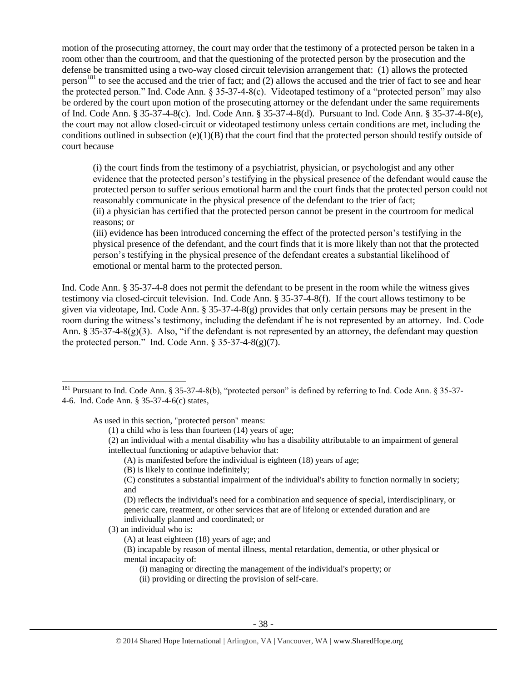motion of the prosecuting attorney, the court may order that the testimony of a protected person be taken in a room other than the courtroom, and that the questioning of the protected person by the prosecution and the defense be transmitted using a two-way closed circuit television arrangement that: (1) allows the protected person<sup>181</sup> to see the accused and the trier of fact; and  $(2)$  allows the accused and the trier of fact to see and hear the protected person." Ind. Code Ann. § 35-37-4-8(c). Videotaped testimony of a "protected person" may also be ordered by the court upon motion of the prosecuting attorney or the defendant under the same requirements of Ind. Code Ann. § 35-37-4-8(c). Ind. Code Ann. § 35-37-4-8(d). Pursuant to Ind. Code Ann. § 35-37-4-8(e), the court may not allow closed-circuit or videotaped testimony unless certain conditions are met, including the conditions outlined in subsection  $(e)(1)(B)$  that the court find that the protected person should testify outside of court because

(i) the court finds from the testimony of a psychiatrist, physician, or psychologist and any other evidence that the protected person's testifying in the physical presence of the defendant would cause the protected person to suffer serious emotional harm and the court finds that the protected person could not reasonably communicate in the physical presence of the defendant to the trier of fact;

(ii) a physician has certified that the protected person cannot be present in the courtroom for medical reasons; or

(iii) evidence has been introduced concerning the effect of the protected person's testifying in the physical presence of the defendant, and the court finds that it is more likely than not that the protected person's testifying in the physical presence of the defendant creates a substantial likelihood of emotional or mental harm to the protected person.

Ind. Code Ann. § 35-37-4-8 does not permit the defendant to be present in the room while the witness gives testimony via closed-circuit television. Ind. Code Ann. § 35-37-4-8(f). If the court allows testimony to be given via videotape, Ind. Code Ann. § 35-37-4-8(g) provides that only certain persons may be present in the room during the witness's testimony, including the defendant if he is not represented by an attorney. Ind. Code Ann. § 35-37-4-8(g)(3). Also, "if the defendant is not represented by an attorney, the defendant may question the protected person." Ind. Code Ann.  $\S 35-37-4-8(g)(7)$ .

As used in this section, "protected person" means:

(1) a child who is less than fourteen (14) years of age;

- (2) an individual with a mental disability who has a disability attributable to an impairment of general intellectual functioning or adaptive behavior that:
	- (A) is manifested before the individual is eighteen (18) years of age;
	- (B) is likely to continue indefinitely;

(C) constitutes a substantial impairment of the individual's ability to function normally in society; and

(D) reflects the individual's need for a combination and sequence of special, interdisciplinary, or generic care, treatment, or other services that are of lifelong or extended duration and are individually planned and coordinated; or

(3) an individual who is:

 $\overline{a}$ 

(ii) providing or directing the provision of self-care.

<sup>&</sup>lt;sup>181</sup> Pursuant to Ind. Code Ann. § 35-37-4-8(b), "protected person" is defined by referring to Ind. Code Ann. § 35-37-4-6. Ind. Code Ann. § 35-37-4-6(c) states,

<sup>(</sup>A) at least eighteen (18) years of age; and

<sup>(</sup>B) incapable by reason of mental illness, mental retardation, dementia, or other physical or mental incapacity of:

<sup>(</sup>i) managing or directing the management of the individual's property; or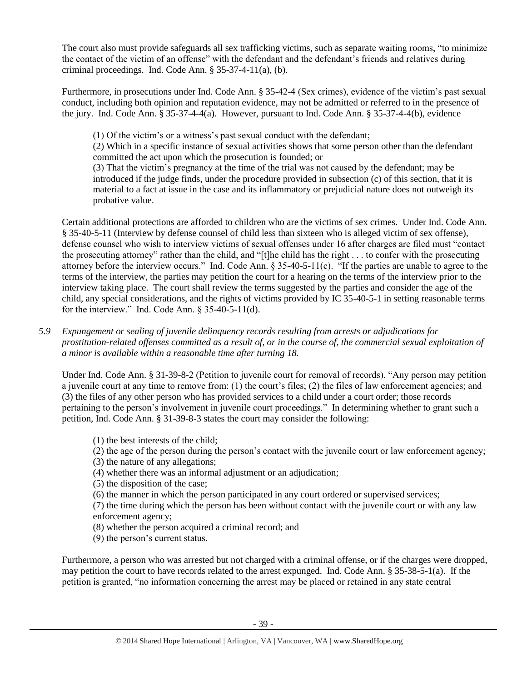The court also must provide safeguards all sex trafficking victims, such as separate waiting rooms, "to minimize the contact of the victim of an offense" with the defendant and the defendant's friends and relatives during criminal proceedings. Ind. Code Ann.  $\S$  35-37-4-11(a), (b).

Furthermore, in prosecutions under Ind. Code Ann. § 35-42-4 (Sex crimes), evidence of the victim's past sexual conduct, including both opinion and reputation evidence, may not be admitted or referred to in the presence of the jury. Ind. Code Ann. § 35-37-4-4(a). However, pursuant to Ind. Code Ann. § 35-37-4-4(b), evidence

(1) Of the victim's or a witness's past sexual conduct with the defendant;

(2) Which in a specific instance of sexual activities shows that some person other than the defendant committed the act upon which the prosecution is founded; or

(3) That the victim's pregnancy at the time of the trial was not caused by the defendant; may be introduced if the judge finds, under the procedure provided in subsection (c) of this section, that it is material to a fact at issue in the case and its inflammatory or prejudicial nature does not outweigh its probative value.

Certain additional protections are afforded to children who are the victims of sex crimes. Under Ind. Code Ann. § 35-40-5-11 (Interview by defense counsel of child less than sixteen who is alleged victim of sex offense), defense counsel who wish to interview victims of sexual offenses under 16 after charges are filed must "contact the prosecuting attorney" rather than the child, and "[t]he child has the right . . . to confer with the prosecuting attorney before the interview occurs." Ind. Code Ann. § 35-40-5-11(c). "If the parties are unable to agree to the terms of the interview, the parties may petition the court for a hearing on the terms of the interview prior to the interview taking place. The court shall review the terms suggested by the parties and consider the age of the child, any special considerations, and the rights of victims provided by IC 35-40-5-1 in setting reasonable terms for the interview." Ind. Code Ann. § 35-40-5-11(d).

*5.9 Expungement or sealing of juvenile delinquency records resulting from arrests or adjudications for prostitution-related offenses committed as a result of, or in the course of, the commercial sexual exploitation of a minor is available within a reasonable time after turning 18.*

Under Ind. Code Ann. § 31-39-8-2 (Petition to juvenile court for removal of records), "Any person may petition a juvenile court at any time to remove from: (1) the court's files; (2) the files of law enforcement agencies; and (3) the files of any other person who has provided services to a child under a court order; those records pertaining to the person's involvement in juvenile court proceedings." In determining whether to grant such a petition, Ind. Code Ann. § 31-39-8-3 states the court may consider the following:

- (1) the best interests of the child;
- (2) the age of the person during the person's contact with the juvenile court or law enforcement agency;
- (3) the nature of any allegations;
- (4) whether there was an informal adjustment or an adjudication;
- (5) the disposition of the case;
- (6) the manner in which the person participated in any court ordered or supervised services;

(7) the time during which the person has been without contact with the juvenile court or with any law enforcement agency;

- (8) whether the person acquired a criminal record; and
- (9) the person's current status.

Furthermore, a person who was arrested but not charged with a criminal offense, or if the charges were dropped, may petition the court to have records related to the arrest expunged. Ind. Code Ann. § 35-38-5-1(a). If the petition is granted, "no information concerning the arrest may be placed or retained in any state central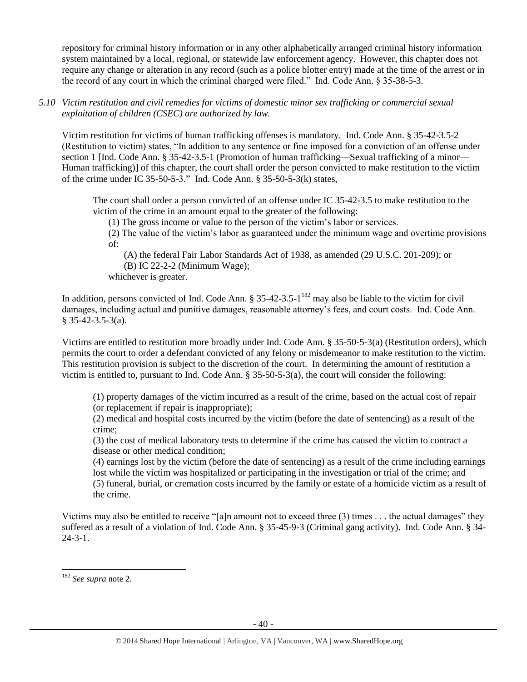repository for criminal history information or in any other alphabetically arranged criminal history information system maintained by a local, regional, or statewide law enforcement agency. However, this chapter does not require any change or alteration in any record (such as a police blotter entry) made at the time of the arrest or in the record of any court in which the criminal charged were filed." Ind. Code Ann. § 35-38-5-3.

*5.10 Victim restitution and civil remedies for victims of domestic minor sex trafficking or commercial sexual exploitation of children (CSEC) are authorized by law.* 

Victim restitution for victims of human trafficking offenses is mandatory. Ind. Code Ann. § 35-42-3.5-2 (Restitution to victim) states, "In addition to any sentence or fine imposed for a conviction of an offense under section 1 [Ind. Code Ann. § 35-42-3.5-1 (Promotion of human trafficking—Sexual trafficking of a minor— Human trafficking)] of this chapter, the court shall order the person convicted to make restitution to the victim of the crime under IC 35-50-5-3." Ind. Code Ann. § 35-50-5-3(k) states,

The court shall order a person convicted of an offense under IC 35-42-3.5 to make restitution to the victim of the crime in an amount equal to the greater of the following:

(1) The gross income or value to the person of the victim's labor or services.

(2) The value of the victim's labor as guaranteed under the minimum wage and overtime provisions of:

(A) the federal Fair Labor Standards Act of 1938, as amended (29 U.S.C. 201-209); or

(B) IC 22-2-2 (Minimum Wage);

whichever is greater.

In addition, persons convicted of Ind. Code Ann.  $\S 35-42-3.5-1<sup>182</sup>$  may also be liable to the victim for civil damages, including actual and punitive damages, reasonable attorney's fees, and court costs. Ind. Code Ann.  $§$  35-42-3.5-3(a).

Victims are entitled to restitution more broadly under Ind. Code Ann. § 35-50-5-3(a) (Restitution orders), which permits the court to order a defendant convicted of any felony or misdemeanor to make restitution to the victim. This restitution provision is subject to the discretion of the court. In determining the amount of restitution a victim is entitled to, pursuant to Ind. Code Ann. § 35-50-5-3(a), the court will consider the following:

(1) property damages of the victim incurred as a result of the crime, based on the actual cost of repair (or replacement if repair is inappropriate);

(2) medical and hospital costs incurred by the victim (before the date of sentencing) as a result of the crime;

(3) the cost of medical laboratory tests to determine if the crime has caused the victim to contract a disease or other medical condition;

(4) earnings lost by the victim (before the date of sentencing) as a result of the crime including earnings lost while the victim was hospitalized or participating in the investigation or trial of the crime; and (5) funeral, burial, or cremation costs incurred by the family or estate of a homicide victim as a result of the crime.

Victims may also be entitled to receive "[a]n amount not to exceed three (3) times . . . the actual damages" they suffered as a result of a violation of Ind. Code Ann. § 35-45-9-3 (Criminal gang activity). Ind. Code Ann. § 34- 24-3-1.

<sup>182</sup> *See supra* not[e 2.](#page-0-0)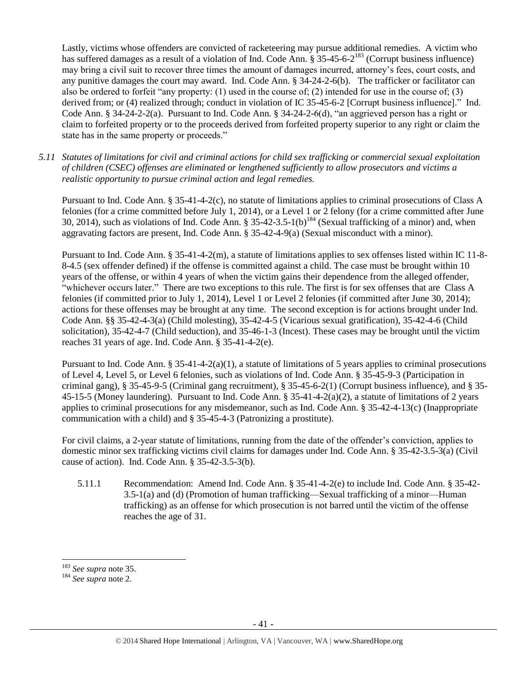Lastly, victims whose offenders are convicted of racketeering may pursue additional remedies. A victim who has suffered damages as a result of a violation of Ind. Code Ann. § 35-45-6-2<sup>183</sup> (Corrupt business influence) may bring a civil suit to recover three times the amount of damages incurred, attorney's fees, court costs, and any punitive damages the court may award. Ind. Code Ann. § 34-24-2-6(b). The trafficker or facilitator can also be ordered to forfeit "any property: (1) used in the course of; (2) intended for use in the course of; (3) derived from; or (4) realized through; conduct in violation of IC 35-45-6-2 [Corrupt business influence]." Ind. Code Ann. § 34-24-2-2(a). Pursuant to Ind. Code Ann. § 34-24-2-6(d), "an aggrieved person has a right or claim to forfeited property or to the proceeds derived from forfeited property superior to any right or claim the state has in the same property or proceeds."

*5.11 Statutes of limitations for civil and criminal actions for child sex trafficking or commercial sexual exploitation of children (CSEC) offenses are eliminated or lengthened sufficiently to allow prosecutors and victims a realistic opportunity to pursue criminal action and legal remedies.*

Pursuant to Ind. Code Ann. § 35-41-4-2(c), no statute of limitations applies to criminal prosecutions of Class A felonies (for a crime committed before July 1, 2014), or a Level 1 or 2 felony (for a crime committed after June 30, 2014), such as violations of Ind. Code Ann.  $\S 35-42-3.5-1(b)^{184}$  (Sexual trafficking of a minor) and, when aggravating factors are present, Ind. Code Ann. § 35-42-4-9(a) (Sexual misconduct with a minor).

Pursuant to Ind. Code Ann. § 35-41-4-2(m), a statute of limitations applies to sex offenses listed within IC 11-8- 8-4.5 (sex offender defined) if the offense is committed against a child. The case must be brought within 10 years of the offense, or within 4 years of when the victim gains their dependence from the alleged offender, "whichever occurs later." There are two exceptions to this rule. The first is for sex offenses that are Class A felonies (if committed prior to July 1, 2014), Level 1 or Level 2 felonies (if committed after June 30, 2014); actions for these offenses may be brought at any time. The second exception is for actions brought under Ind. Code Ann. §§ 35-42-4-3(a) (Child molesting), 35-42-4-5 (Vicarious sexual gratification), 35-42-4-6 (Child solicitation), 35-42-4-7 (Child seduction), and 35-46-1-3 (Incest). These cases may be brought until the victim reaches 31 years of age. Ind. Code Ann. § 35-41-4-2(e).

Pursuant to Ind. Code Ann.  $\S 35-41-4-2(a)(1)$ , a statute of limitations of 5 years applies to criminal prosecutions of Level 4, Level 5, or Level 6 felonies, such as violations of Ind. Code Ann. § 35-45-9-3 (Participation in criminal gang), § 35-45-9-5 (Criminal gang recruitment), § 35-45-6-2(1) (Corrupt business influence), and § 35- 45-15-5 (Money laundering). Pursuant to Ind. Code Ann. § 35-41-4-2(a)(2), a statute of limitations of 2 years applies to criminal prosecutions for any misdemeanor, such as Ind. Code Ann. § 35-42-4-13(c) (Inappropriate communication with a child) and § 35-45-4-3 (Patronizing a prostitute).

For civil claims, a 2-year statute of limitations, running from the date of the offender's conviction, applies to domestic minor sex trafficking victims civil claims for damages under Ind. Code Ann. § 35-42-3.5-3(a) (Civil cause of action). Ind. Code Ann. § 35-42-3.5-3(b).

5.11.1 Recommendation: Amend Ind. Code Ann. § 35-41-4-2(e) to include Ind. Code Ann. § 35-42- 3.5-1(a) and (d) (Promotion of human trafficking—Sexual trafficking of a minor—Human trafficking) as an offense for which prosecution is not barred until the victim of the offense reaches the age of 31.

<sup>183</sup> *See supra* not[e 35.](#page-6-0)

<sup>184</sup> *See supra* not[e 2.](#page-0-0)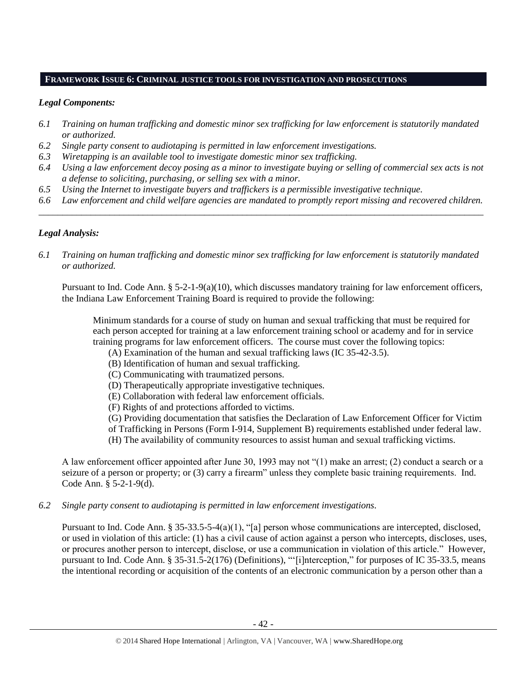## **FRAMEWORK ISSUE 6: CRIMINAL JUSTICE TOOLS FOR INVESTIGATION AND PROSECUTIONS**

## *Legal Components:*

- *6.1 Training on human trafficking and domestic minor sex trafficking for law enforcement is statutorily mandated or authorized.*
- *6.2 Single party consent to audiotaping is permitted in law enforcement investigations.*
- *6.3 Wiretapping is an available tool to investigate domestic minor sex trafficking.*
- *6.4 Using a law enforcement decoy posing as a minor to investigate buying or selling of commercial sex acts is not a defense to soliciting, purchasing, or selling sex with a minor.*
- *6.5 Using the Internet to investigate buyers and traffickers is a permissible investigative technique.*
- *6.6 Law enforcement and child welfare agencies are mandated to promptly report missing and recovered children. \_\_\_\_\_\_\_\_\_\_\_\_\_\_\_\_\_\_\_\_\_\_\_\_\_\_\_\_\_\_\_\_\_\_\_\_\_\_\_\_\_\_\_\_\_\_\_\_\_\_\_\_\_\_\_\_\_\_\_\_\_\_\_\_\_\_\_\_\_\_\_\_\_\_\_\_\_\_\_\_\_\_\_\_\_\_\_\_\_\_\_\_\_\_*

# *Legal Analysis:*

*6.1 Training on human trafficking and domestic minor sex trafficking for law enforcement is statutorily mandated or authorized.*

Pursuant to Ind. Code Ann. § 5-2-1-9(a)(10), which discusses mandatory training for law enforcement officers, the Indiana Law Enforcement Training Board is required to provide the following:

Minimum standards for a course of study on human and sexual trafficking that must be required for each person accepted for training at a law enforcement training school or academy and for in service training programs for law enforcement officers. The course must cover the following topics:

- (A) Examination of the human and sexual trafficking laws (IC 35-42-3.5).
	- (B) Identification of human and sexual trafficking.
	- (C) Communicating with traumatized persons.
	- (D) Therapeutically appropriate investigative techniques.
	- (E) Collaboration with federal law enforcement officials.
	- (F) Rights of and protections afforded to victims.

(G) Providing documentation that satisfies the Declaration of Law Enforcement Officer for Victim

- of Trafficking in Persons (Form I-914, Supplement B) requirements established under federal law.
- (H) The availability of community resources to assist human and sexual trafficking victims.

A law enforcement officer appointed after June 30, 1993 may not "(1) make an arrest; (2) conduct a search or a seizure of a person or property; or (3) carry a firearm" unless they complete basic training requirements. Ind. Code Ann. § 5-2-1-9(d).

*6.2 Single party consent to audiotaping is permitted in law enforcement investigations.*

Pursuant to Ind. Code Ann. § 35-33.5-5-4(a)(1), "[a] person whose communications are intercepted, disclosed, or used in violation of this article: (1) has a civil cause of action against a person who intercepts, discloses, uses, or procures another person to intercept, disclose, or use a communication in violation of this article." However, pursuant to Ind. Code Ann. § 35-31.5-2(176) (Definitions), "'[i]nterception," for purposes of IC 35-33.5, means the intentional recording or acquisition of the contents of an electronic communication by a person other than a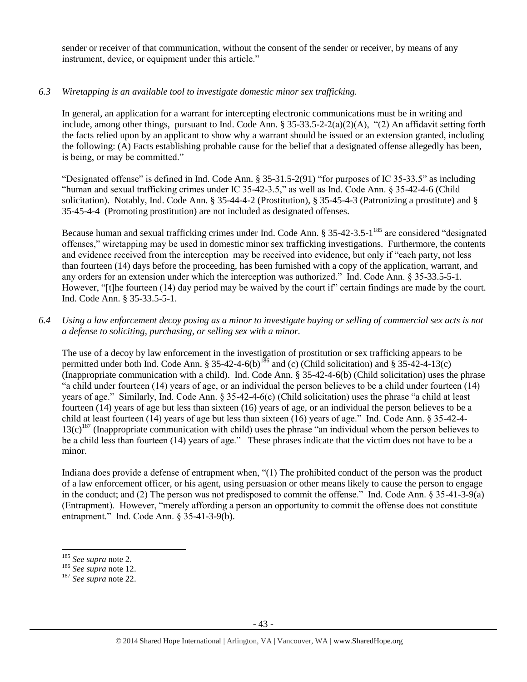sender or receiver of that communication, without the consent of the sender or receiver, by means of any instrument, device, or equipment under this article."

## *6.3 Wiretapping is an available tool to investigate domestic minor sex trafficking.*

In general, an application for a warrant for intercepting electronic communications must be in writing and include, among other things, pursuant to Ind. Code Ann.  $\S 35-33.5-2-2(a)(2)(A)$ , "(2) An affidavit setting forth the facts relied upon by an applicant to show why a warrant should be issued or an extension granted, including the following: (A) Facts establishing probable cause for the belief that a designated offense allegedly has been, is being, or may be committed."

"Designated offense" is defined in Ind. Code Ann. § 35-31.5-2(91) "for purposes of IC 35-33.5" as including "human and sexual trafficking crimes under IC 35-42-3.5," as well as Ind. Code Ann. § 35-42-4-6 (Child solicitation). Notably, Ind. Code Ann. § 35-44-4-2 (Prostitution), § 35-45-4-3 (Patronizing a prostitute) and § 35-45-4-4 (Promoting prostitution) are not included as designated offenses.

Because human and sexual trafficking crimes under Ind. Code Ann. § 35-42-3.5-1<sup>185</sup> are considered "designated offenses," wiretapping may be used in domestic minor sex trafficking investigations. Furthermore, the contents and evidence received from the interception may be received into evidence, but only if "each party, not less than fourteen (14) days before the proceeding, has been furnished with a copy of the application, warrant, and any orders for an extension under which the interception was authorized." Ind. Code Ann. § 35-33.5-5-1. However, "[t]he fourteen (14) day period may be waived by the court if" certain findings are made by the court. Ind. Code Ann. § 35-33.5-5-1.

*6.4 Using a law enforcement decoy posing as a minor to investigate buying or selling of commercial sex acts is not a defense to soliciting, purchasing, or selling sex with a minor.*

The use of a decoy by law enforcement in the investigation of prostitution or sex trafficking appears to be permitted under both Ind. Code Ann. § 35-42-4-6(b)<sup>186</sup> and (c) (Child solicitation) and § 35-42-4-13(c) (Inappropriate communication with a child). Ind. Code Ann. § 35-42-4-6(b) (Child solicitation) uses the phrase "a child under fourteen (14) years of age, or an individual the person believes to be a child under fourteen (14) years of age." Similarly, Ind. Code Ann. § 35-42-4-6(c) (Child solicitation) uses the phrase "a child at least fourteen (14) years of age but less than sixteen (16) years of age, or an individual the person believes to be a child at least fourteen (14) years of age but less than sixteen (16) years of age." Ind. Code Ann. § 35-42-4-  $13(c)^{187}$  (Inappropriate communication with child) uses the phrase "an individual whom the person believes to be a child less than fourteen (14) years of age." These phrases indicate that the victim does not have to be a minor.

Indiana does provide a defense of entrapment when, "(1) The prohibited conduct of the person was the product of a law enforcement officer, or his agent, using persuasion or other means likely to cause the person to engage in the conduct; and (2) The person was not predisposed to commit the offense." Ind. Code Ann. § 35-41-3-9(a) (Entrapment). However, "merely affording a person an opportunity to commit the offense does not constitute entrapment." Ind. Code Ann. § 35-41-3-9(b).

<sup>185</sup> *See supra* not[e 2.](#page-0-0)

<sup>186</sup> *See supra* not[e 12.](#page-3-0)

<sup>187</sup> *See supra* not[e 22.](#page-4-2)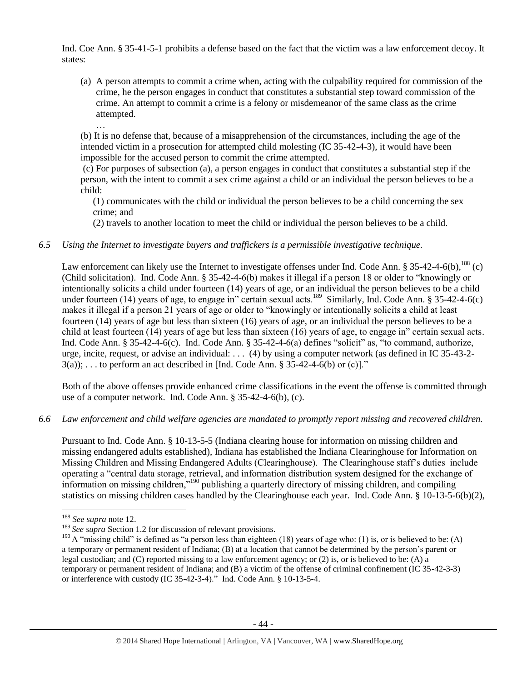Ind. Coe Ann. § 35-41-5-1 prohibits a defense based on the fact that the victim was a law enforcement decoy. It states:

(a) A person attempts to commit a crime when, acting with the culpability required for commission of the crime, he the person engages in conduct that constitutes a substantial step toward commission of the crime. An attempt to commit a crime is a felony or misdemeanor of the same class as the crime attempted.

… (b) It is no defense that, because of a misapprehension of the circumstances, including the age of the intended victim in a prosecution for attempted child molesting (IC 35-42-4-3), it would have been impossible for the accused person to commit the crime attempted.

(c) For purposes of subsection (a), a person engages in conduct that constitutes a substantial step if the person, with the intent to commit a sex crime against a child or an individual the person believes to be a child:

(1) communicates with the child or individual the person believes to be a child concerning the sex crime; and

(2) travels to another location to meet the child or individual the person believes to be a child.

# *6.5 Using the Internet to investigate buyers and traffickers is a permissible investigative technique.*

Law enforcement can likely use the Internet to investigate offenses under Ind. Code Ann. § 35-42-4-6(b),<sup>188</sup> (c) (Child solicitation). Ind. Code Ann. § 35-42-4-6(b) makes it illegal if a person 18 or older to "knowingly or intentionally solicits a child under fourteen (14) years of age, or an individual the person believes to be a child under fourteen (14) years of age, to engage in" certain sexual acts.<sup>189</sup> Similarly, Ind. Code Ann. § 35-42-4-6(c) makes it illegal if a person 21 years of age or older to "knowingly or intentionally solicits a child at least fourteen (14) years of age but less than sixteen (16) years of age, or an individual the person believes to be a child at least fourteen (14) years of age but less than sixteen (16) years of age, to engage in" certain sexual acts. Ind. Code Ann. § 35-42-4-6(c). Ind. Code Ann. § 35-42-4-6(a) defines "solicit" as, "to command, authorize, urge, incite, request, or advise an individual: . . . (4) by using a computer network (as defined in IC 35-43-2-  $3(a)$ ; ... to perform an act described in [Ind. Code Ann. § 35-42-4-6(b) or (c)]."

Both of the above offenses provide enhanced crime classifications in the event the offense is committed through use of a computer network. Ind. Code Ann. § 35-42-4-6(b), (c).

## *6.6 Law enforcement and child welfare agencies are mandated to promptly report missing and recovered children.*

Pursuant to Ind. Code Ann. § 10-13-5-5 (Indiana clearing house for information on missing children and missing endangered adults established), Indiana has established the Indiana Clearinghouse for Information on Missing Children and Missing Endangered Adults (Clearinghouse). The Clearinghouse staff's duties include operating a "central data storage, retrieval, and information distribution system designed for the exchange of information on missing children,"<sup>190</sup> publishing a quarterly directory of missing children, and compiling statistics on missing children cases handled by the Clearinghouse each year. Ind. Code Ann. § 10-13-5-6(b)(2),

<sup>188</sup> *See supra* not[e 12.](#page-3-0)

<sup>&</sup>lt;sup>189</sup> See supra Section 1.2 for discussion of relevant provisions.

<sup>&</sup>lt;sup>190</sup> A "missing child" is defined as "a person less than eighteen (18) years of age who: (1) is, or is believed to be: (A) a temporary or permanent resident of Indiana; (B) at a location that cannot be determined by the person's parent or legal custodian; and (C) reported missing to a law enforcement agency; or (2) is, or is believed to be: (A) a temporary or permanent resident of Indiana; and (B) a victim of the offense of criminal confinement (IC 35-42-3-3) or interference with custody (IC 35-42-3-4)." Ind. Code Ann. § 10-13-5-4.